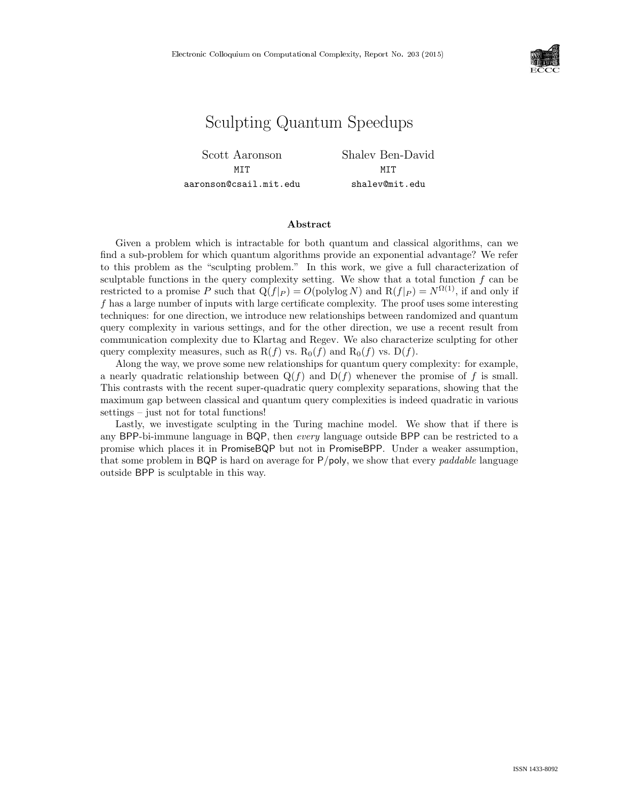

# Sculpting Quantum Speedups

Scott Aaronson **MTT** aaronson@csail.mit.edu Shalev Ben-David MIT shalev@mit.edu

#### Abstract

Given a problem which is intractable for both quantum and classical algorithms, can we find a sub-problem for which quantum algorithms provide an exponential advantage? We refer to this problem as the "sculpting problem." In this work, we give a full characterization of sculptable functions in the query complexity setting. We show that a total function  $f$  can be restricted to a promise P such that  $Q(f|_P) = O(polylog N)$  and  $R(f|_P) = N^{\Omega(1)}$ , if and only if f has a large number of inputs with large certificate complexity. The proof uses some interesting techniques: for one direction, we introduce new relationships between randomized and quantum query complexity in various settings, and for the other direction, we use a recent result from communication complexity due to Klartag and Regev. We also characterize sculpting for other query complexity measures, such as  $R(f)$  vs.  $R_0(f)$  and  $R_0(f)$  vs.  $D(f)$ .

Along the way, we prove some new relationships for quantum query complexity: for example, a nearly quadratic relationship between  $Q(f)$  and  $D(f)$  whenever the promise of f is small. This contrasts with the recent super-quadratic query complexity separations, showing that the maximum gap between classical and quantum query complexities is indeed quadratic in various settings – just not for total functions!

Lastly, we investigate sculpting in the Turing machine model. We show that if there is any BPP-bi-immune language in BQP, then every language outside BPP can be restricted to a promise which places it in PromiseBQP but not in PromiseBPP. Under a weaker assumption, that some problem in BQP is hard on average for  $P/poly$ , we show that every *paddable* language outside BPP is sculptable in this way.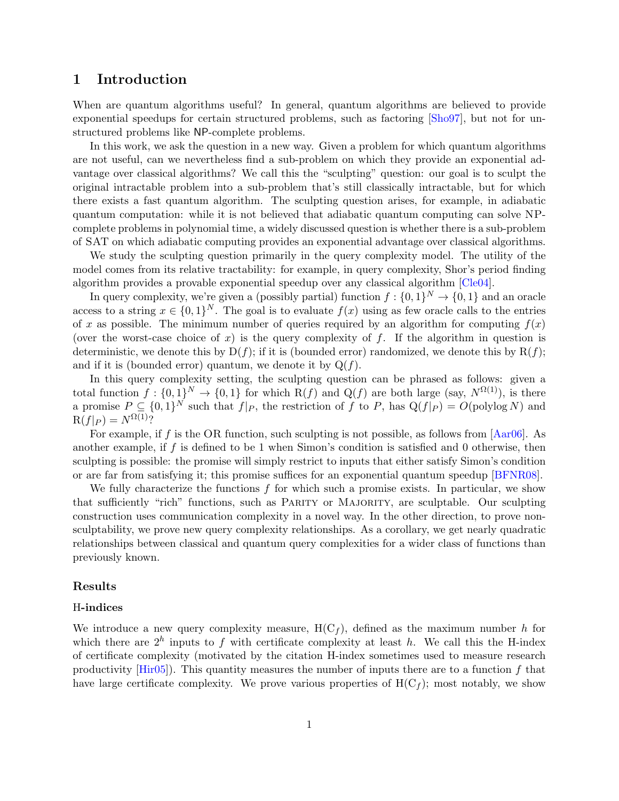## <span id="page-1-0"></span>1 Introduction

When are quantum algorithms useful? In general, quantum algorithms are believed to provide exponential speedups for certain structured problems, such as factoring [\[Sho97\]](#page-28-0), but not for unstructured problems like NP-complete problems.

In this work, we ask the question in a new way. Given a problem for which quantum algorithms are not useful, can we nevertheless find a sub-problem on which they provide an exponential advantage over classical algorithms? We call this the "sculpting" question: our goal is to sculpt the original intractable problem into a sub-problem that's still classically intractable, but for which there exists a fast quantum algorithm. The sculpting question arises, for example, in adiabatic quantum computation: while it is not believed that adiabatic quantum computing can solve NPcomplete problems in polynomial time, a widely discussed question is whether there is a sub-problem of SAT on which adiabatic computing provides an exponential advantage over classical algorithms.

We study the sculpting question primarily in the query complexity model. The utility of the model comes from its relative tractability: for example, in query complexity, Shor's period finding algorithm provides a provable exponential speedup over any classical algorithm [\[Cle04\]](#page-27-0).

In query complexity, we're given a (possibly partial) function  $f: \{0,1\}^N \to \{0,1\}$  and an oracle access to a string  $x \in \{0,1\}^N$ . The goal is to evaluate  $f(x)$  using as few oracle calls to the entries of x as possible. The minimum number of queries required by an algorithm for computing  $f(x)$ (over the worst-case choice of x) is the query complexity of f. If the algorithm in question is deterministic, we denote this by  $D(f)$ ; if it is (bounded error) randomized, we denote this by  $R(f)$ ; and if it is (bounded error) quantum, we denote it by  $Q(f)$ .

In this query complexity setting, the sculpting question can be phrased as follows: given a total function  $f: \{0,1\}^N \to \{0,1\}$  for which  $R(f)$  and  $Q(f)$  are both large (say,  $N^{\Omega(1)}$ ), is there a promise  $P \subseteq \{0,1\}^N$  such that  $f|_P$ , the restriction of f to P, has  $Q(f|_P) = O(polylog N)$  and  $R(f|_P) = N^{\Omega(1)}?$ 

For example, if f is the OR function, such sculpting is not possible, as follows from  $[{\rm Aar}06]$ . As another example, if f is defined to be 1 when Simon's condition is satisfied and 0 otherwise, then sculpting is possible: the promise will simply restrict to inputs that either satisfy Simon's condition or are far from satisfying it; this promise suffices for an exponential quantum speedup [\[BFNR08\]](#page-27-1).

We fully characterize the functions  $f$  for which such a promise exists. In particular, we show that sufficiently "rich" functions, such as Parity or Majority, are sculptable. Our sculpting construction uses communication complexity in a novel way. In the other direction, to prove nonsculptability, we prove new query complexity relationships. As a corollary, we get nearly quadratic relationships between classical and quantum query complexities for a wider class of functions than previously known.

#### Results

#### H-indices

We introduce a new query complexity measure,  $H(C_f)$ , defined as the maximum number h for which there are  $2^h$  inputs to f with certificate complexity at least h. We call this the H-index of certificate complexity (motivated by the citation H-index sometimes used to measure research productivity  $[Hir05]$ . This quantity measures the number of inputs there are to a function f that have large certificate complexity. We prove various properties of  $H(C_f)$ ; most notably, we show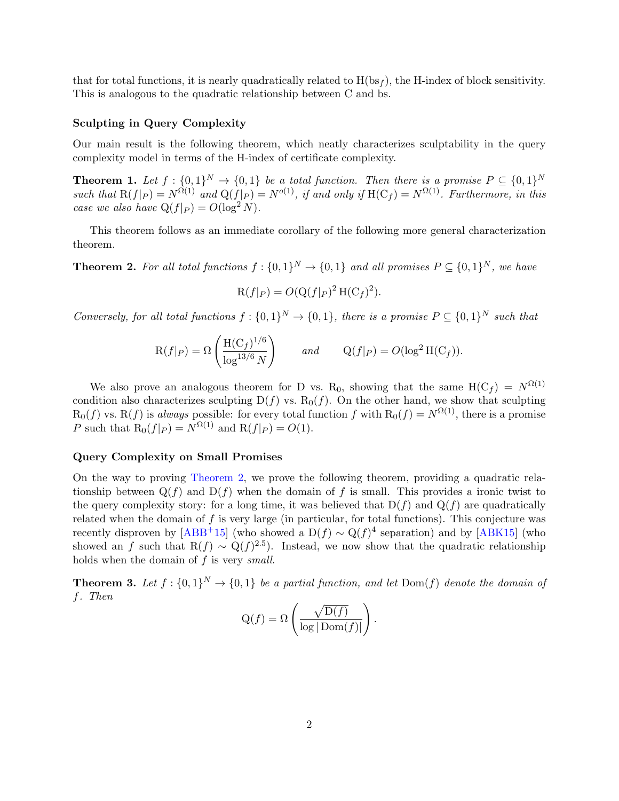<span id="page-2-3"></span>that for total functions, it is nearly quadratically related to  $H(bsf_f)$ , the H-index of block sensitivity. This is analogous to the quadratic relationship between C and bs.

#### Sculpting in Query Complexity

Our main result is the following theorem, which neatly characterizes sculptability in the query complexity model in terms of the H-index of certificate complexity.

<span id="page-2-2"></span>**Theorem 1.** Let  $f: \{0,1\}^N \to \{0,1\}$  be a total function. Then there is a promise  $P \subseteq \{0,1\}^N$ such that  $R(f|_P) = N^{\Omega(1)}$  and  $Q(f|_P) = N^{o(1)}$ , if and only if  $H(C_f) = N^{\Omega(1)}$ . Furthermore, in this case we also have  $Q(f|_P) = O(\log^2 N)$ .

This theorem follows as an immediate corollary of the following more general characterization theorem.

<span id="page-2-0"></span>**Theorem 2.** For all total functions  $f: \{0,1\}^N \to \{0,1\}$  and all promises  $P \subseteq \{0,1\}^N$ , we have

$$
\mathcal{R}(f|_P) = O(\mathcal{Q}(f|_P)^2 \mathcal{H}(\mathcal{C}_f)^2).
$$

Conversely, for all total functions  $f: \{0,1\}^N \to \{0,1\}$ , there is a promise  $P \subseteq \{0,1\}^N$  such that

$$
R(f|P) = \Omega\left(\frac{H(C_f)^{1/6}}{\log^{13/6} N}\right) \quad and \quad Q(f|P) = O(\log^2 H(C_f)).
$$

We also prove an analogous theorem for D vs. R<sub>0</sub>, showing that the same  $H(C_f) = N^{\Omega(1)}$ condition also characterizes sculpting  $D(f)$  vs.  $R_0(f)$ . On the other hand, we show that sculpting  $R_0(f)$  vs.  $R(f)$  is always possible: for every total function f with  $R_0(f) = N^{\Omega(1)}$ , there is a promise P such that  $R_0(f|_P) = N^{\Omega(1)}$  and  $R(f|_P) = O(1)$ .

#### Query Complexity on Small Promises

On the way to proving [Theorem 2,](#page-2-0) we prove the following theorem, providing a quadratic relationship between  $Q(f)$  and  $D(f)$  when the domain of f is small. This provides a ironic twist to the query complexity story: for a long time, it was believed that  $D(f)$  and  $Q(f)$  are quadratically related when the domain of  $f$  is very large (in particular, for total functions). This conjecture was recently disproven by  $[ABB^+15]$  $[ABB^+15]$  (who showed a D $(f) \sim Q(f)^4$  separation) and by  $[ABK15]$  (who showed an f such that  $R(f) \sim Q(f)^{2.5}$ ). Instead, we now show that the quadratic relationship holds when the domain of  $f$  is very small.

<span id="page-2-1"></span>**Theorem 3.** Let  $f: \{0,1\}^N \to \{0,1\}$  be a partial function, and let  $Dom(f)$  denote the domain of f. Then

$$
Q(f) = \Omega \left( \frac{\sqrt{D(f)}}{\log |\operatorname{Dom}(f)|} \right).
$$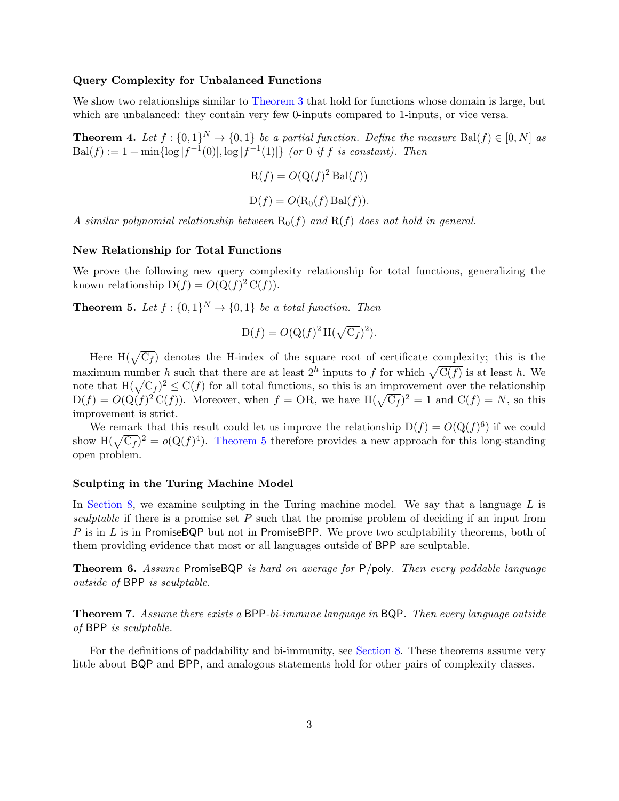#### Query Complexity for Unbalanced Functions

We show two relationships similar to [Theorem 3](#page-2-1) that hold for functions whose domain is large, but which are unbalanced: they contain very few 0-inputs compared to 1-inputs, or vice versa.

<span id="page-3-1"></span>**Theorem 4.** Let  $f: \{0,1\}^N \to \{0,1\}$  be a partial function. Define the measure Bal $(f) \in [0,N]$  as  $Bal(f) := 1 + min\{\log |f^{-1}(0)|, \log |f^{-1}(1)|\}$  (or 0 if f is constant). Then

$$
R(f) = O(Q(f)^2 \operatorname{Bal}(f))
$$

 $D(f) = O(R_0(f) Bal(f)).$ 

A similar polynomial relationship between  $R_0(f)$  and  $R(f)$  does not hold in general.

#### New Relationship for Total Functions

We prove the following new query complexity relationship for total functions, generalizing the known relationship  $D(f) = O(Q(f)^2 C(f)).$ 

<span id="page-3-0"></span>**Theorem 5.** Let  $f : \{0,1\}^N \to \{0,1\}$  be a total function. Then

$$
D(f) = O(Q(f)^{2} H(\sqrt{C_f})^{2}).
$$

Here  $H(\sqrt{C_f})$  denotes the H-index of the square root of certificate complexity; this is the maximum number h such that there are at least  $2^h$  inputs to f for which  $\sqrt{C(f)}$  is at least h. We note that  $H(\sqrt{C_f})^2 \leq C(f)$  for all total functions, so this is an improvement over the relationship  $D(f) = O(Q(f)^2 C(f))$ . Moreover, when  $f = OR$ , we have  $H(\sqrt{C_f})^2 = 1$  and  $C(f) = N$ , so this improvement is strict.

We remark that this result could let us improve the relationship  $D(f) = O(Q(f)^6)$  if we could show  $H(\sqrt{C_f})^2 = o(Q(f)^4)$ . [Theorem 5](#page-3-0) therefore provides a new approach for this long-standing open problem.

#### Sculpting in the Turing Machine Model

In [Section 8,](#page-22-0) we examine sculpting in the Turing machine model. We say that a language  $L$  is sculptable if there is a promise set  $P$  such that the promise problem of deciding if an input from P is in  $L$  is in PromiseBQP but not in PromiseBPP. We prove two sculptability theorems, both of them providing evidence that most or all languages outside of BPP are sculptable.

<span id="page-3-2"></span>Theorem 6. Assume PromiseBQP is hard on average for P/poly. Then every paddable language outside of BPP is sculptable.

<span id="page-3-3"></span>Theorem 7. Assume there exists a BPP-bi-immune language in BQP. Then every language outside of BPP is sculptable.

For the definitions of paddability and bi-immunity, see [Section 8.](#page-22-0) These theorems assume very little about BQP and BPP, and analogous statements hold for other pairs of complexity classes.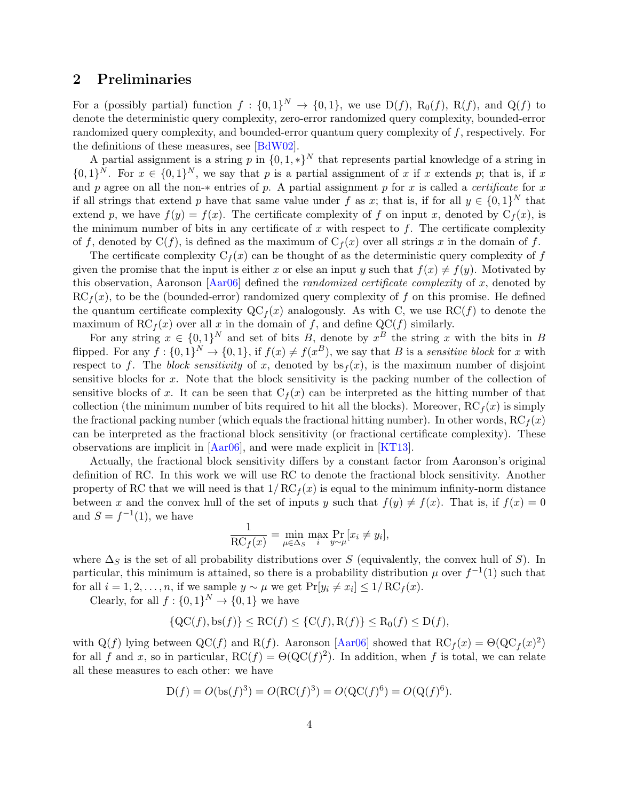## <span id="page-4-0"></span>2 Preliminaries

For a (possibly partial) function  $f: \{0,1\}^N \to \{0,1\}$ , we use  $D(f)$ ,  $R_0(f)$ ,  $R(f)$ , and  $Q(f)$  to denote the deterministic query complexity, zero-error randomized query complexity, bounded-error randomized query complexity, and bounded-error quantum query complexity of  $f$ , respectively. For the definitions of these measures, see [\[BdW02\]](#page-27-5).

A partial assignment is a string p in  $\{0, 1, *\}^N$  that represents partial knowledge of a string in  $\{0,1\}^N$ . For  $x \in \{0,1\}^N$ , we say that p is a partial assignment of x if x extends p; that is, if x and p agree on all the non- $*$  entries of p. A partial assignment p for x is called a *certificate* for x if all strings that extend p have that same value under f as x; that is, if for all  $y \in \{0,1\}^N$  that extend p, we have  $f(y) = f(x)$ . The certificate complexity of f on input x, denoted by  $C_f(x)$ , is the minimum number of bits in any certificate of x with respect to  $f$ . The certificate complexity of f, denoted by  $C(f)$ , is defined as the maximum of  $C_f(x)$  over all strings x in the domain of f.

The certificate complexity  $C_f(x)$  can be thought of as the deterministic query complexity of f given the promise that the input is either x or else an input y such that  $f(x) \neq f(y)$ . Motivated by this observation, Aaronson [\[Aar06\]](#page-26-0) defined the randomized certificate complexity of x, denoted by  $RC_f(x)$ , to be the (bounded-error) randomized query complexity of f on this promise. He defined the quantum certificate complexity  $\mathrm{QC}_f(x)$  analogously. As with C, we use  $\mathrm{RC}(f)$  to denote the maximum of RC<sub>f</sub>(x) over all x in the domain of f, and define QC(f) similarly.

For any string  $x \in \{0,1\}^N$  and set of bits B, denote by  $x^B$  the string x with the bits in B flipped. For any  $f: \{0,1\}^N \to \{0,1\}$ , if  $f(x) \neq f(x^B)$ , we say that B is a sensitive block for x with respect to f. The block sensitivity of x, denoted by  $bs_f(x)$ , is the maximum number of disjoint sensitive blocks for x. Note that the block sensitivity is the packing number of the collection of sensitive blocks of x. It can be seen that  $C_f(x)$  can be interpreted as the hitting number of that collection (the minimum number of bits required to hit all the blocks). Moreover,  $RC_f(x)$  is simply the fractional packing number (which equals the fractional hitting number). In other words,  $\mathrm{RC}_f(x)$ can be interpreted as the fractional block sensitivity (or fractional certificate complexity). These observations are implicit in [\[Aar06\]](#page-26-0), and were made explicit in [\[KT13\]](#page-27-6).

Actually, the fractional block sensitivity differs by a constant factor from Aaronson's original definition of RC. In this work we will use RC to denote the fractional block sensitivity. Another property of RC that we will need is that  $1/RC_f(x)$  is equal to the minimum infinity-norm distance between x and the convex hull of the set of inputs y such that  $f(y) \neq f(x)$ . That is, if  $f(x) = 0$ and  $S = f^{-1}(1)$ , we have

$$
\frac{1}{\mathrm{RC}_f(x)} = \min_{\mu \in \Delta_S} \max_i \Pr_{y \sim \mu} [x_i \neq y_i],
$$

where  $\Delta_S$  is the set of all probability distributions over S (equivalently, the convex hull of S). In particular, this minimum is attained, so there is a probability distribution  $\mu$  over  $f^{-1}(1)$  such that for all  $i = 1, 2, ..., n$ , if we sample  $y \sim \mu$  we get  $Pr[y_i \neq x_i] \leq 1/RC_f(x)$ .

Clearly, for all  $f: \{0,1\}^N \to \{0,1\}$  we have

$$
\{QC(f), bs(f)\} \le RC(f) \le \{C(f), R(f)\} \le R_0(f) \le D(f),
$$

with Q(f) lying between QC(f) and R(f). Aaronson [\[Aar06\]](#page-26-0) showed that  $RC_f(x) = \Theta(QC_f(x)^2)$ for all f and x, so in particular,  $RC(f) = \Theta(QC(f)^2)$ . In addition, when f is total, we can relate all these measures to each other: we have

$$
D(f) = O(\text{bs}(f)^3) = O(\text{RC}(f)^3) = O(\text{QC}(f)^6) = O(\text{Q}(f)^6).
$$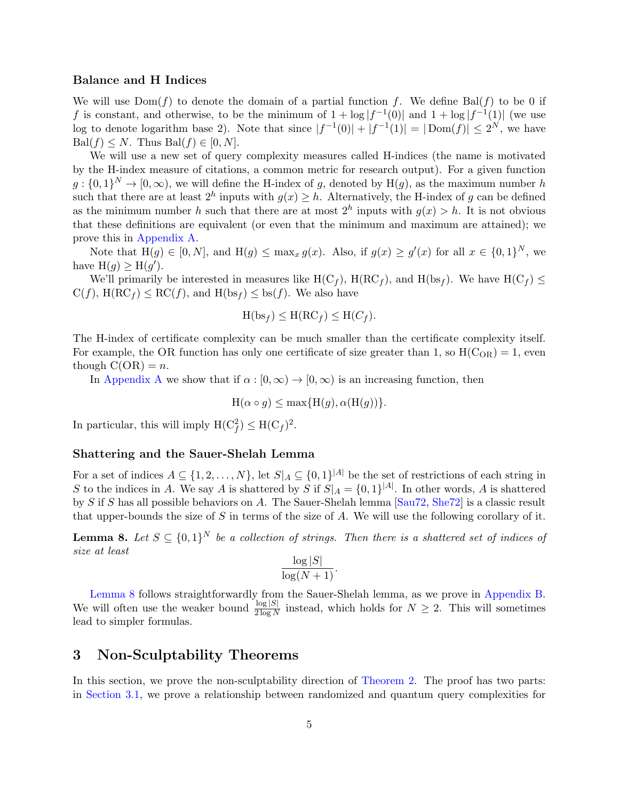#### <span id="page-5-1"></span>Balance and H Indices

We will use  $Dom(f)$  to denote the domain of a partial function f. We define Bal(f) to be 0 if f is constant, and otherwise, to be the minimum of  $1 + \log |f^{-1}(0)|$  and  $1 + \log |f^{-1}(1)|$  (we use log to denote logarithm base 2). Note that since  $|f^{-1}(0)| + |f^{-1}(1)| = |\text{Dom}(f)| \leq 2^N$ , we have  $Bal(f) \leq N$ . Thus  $Bal(f) \in [0, N]$ .

We will use a new set of query complexity measures called H-indices (the name is motivated by the H-index measure of citations, a common metric for research output). For a given function  $g: \{0,1\}^N \to [0,\infty)$ , we will define the H-index of g, denoted by  $H(g)$ , as the maximum number h such that there are at least  $2^h$  inputs with  $g(x) \geq h$ . Alternatively, the H-index of g can be defined as the minimum number h such that there are at most  $2^h$  inputs with  $g(x) > h$ . It is not obvious that these definitions are equivalent (or even that the minimum and maximum are attained); we prove this in [Appendix A.](#page-28-1)

Note that  $H(g) \in [0, N]$ , and  $H(g) \le \max_x g(x)$ . Also, if  $g(x) \ge g'(x)$  for all  $x \in \{0, 1\}^N$ , we have  $H(g) \geq H(g')$ .

We'll primarily be interested in measures like  $H(C_f)$ ,  $H(RC_f)$ , and  $H(bsf)$ . We have  $H(C_f) \le$  $C(f)$ ,  $H(RC_f) \leq RC(f)$ , and  $H(bs_f) \leq bs(f)$ . We also have

$$
H(bsf) \le H(RC_f) \le H(C_f).
$$

The H-index of certificate complexity can be much smaller than the certificate complexity itself. For example, the OR function has only one certificate of size greater than 1, so  $H(C_{OR}) = 1$ , even though  $C(OR) = n$ .

In [Appendix A](#page-28-1) we show that if  $\alpha : [0, \infty) \to [0, \infty)$  is an increasing function, then

$$
H(\alpha \circ g) \le \max\{H(g), \alpha(H(g))\}.
$$

In particular, this will imply  $H(C_f^2) \leq H(C_f)^2$ .

#### Shattering and the Sauer-Shelah Lemma

For a set of indices  $A \subseteq \{1, 2, ..., N\}$ , let  $S|_A \subseteq \{0, 1\}^{|A|}$  be the set of restrictions of each string in S to the indices in A. We say A is shattered by S if  $S|_A = \{0,1\}^{|A|}$ . In other words, A is shattered by S if S has all possible behaviors on A. The Sauer-Shelah lemma [\[Sau72,](#page-27-7) [She72\]](#page-28-2) is a classic result that upper-bounds the size of  $S$  in terms of the size of  $A$ . We will use the following corollary of it.

<span id="page-5-0"></span>**Lemma 8.** Let  $S \subseteq \{0,1\}^N$  be a collection of strings. Then there is a shattered set of indices of size at least

$$
\frac{\log|S|}{\log(N+1)}.
$$

[Lemma 8](#page-5-0) follows straightforwardly from the Sauer-Shelah lemma, as we prove in [Appendix B.](#page--1-0) We will often use the weaker bound  $\frac{\log |S|}{2 \log N}$  instead, which holds for  $N \geq 2$ . This will sometimes lead to simpler formulas.

## 3 Non-Sculptability Theorems

In this section, we prove the non-sculptability direction of [Theorem 2.](#page-2-0) The proof has two parts: in [Section 3.1,](#page-6-0) we prove a relationship between randomized and quantum query complexities for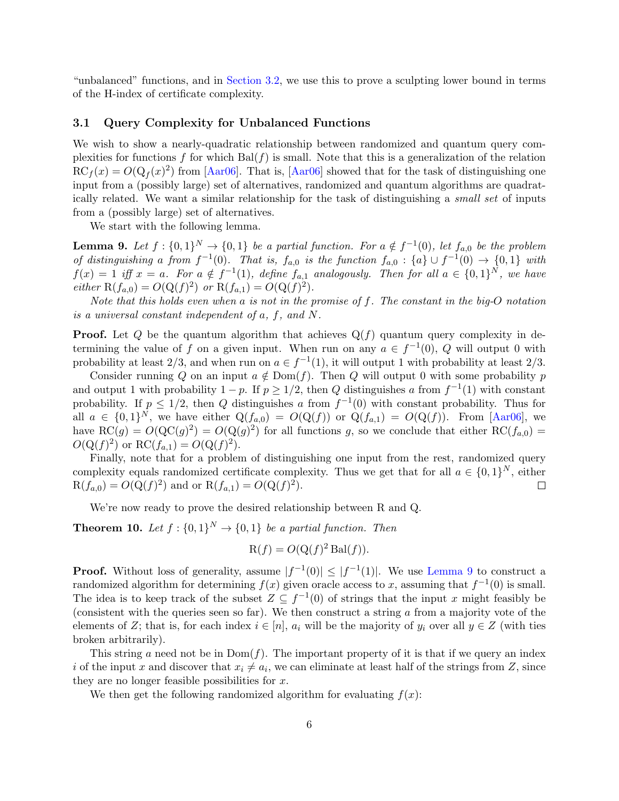<span id="page-6-3"></span>"unbalanced" functions, and in [Section 3.2,](#page-8-0) we use this to prove a sculpting lower bound in terms of the H-index of certificate complexity.

#### <span id="page-6-0"></span>3.1 Query Complexity for Unbalanced Functions

We wish to show a nearly-quadratic relationship between randomized and quantum query complexities for functions f for which  $Bal(f)$  is small. Note that this is a generalization of the relation  $RC_f(x) = O(Q_f(x)^2)$  from [\[Aar06\]](#page-26-0). That is, [Aar06] showed that for the task of distinguishing one input from a (possibly large) set of alternatives, randomized and quantum algorithms are quadratically related. We want a similar relationship for the task of distinguishing a small set of inputs from a (possibly large) set of alternatives.

We start with the following lemma.

<span id="page-6-1"></span>**Lemma 9.** Let  $f: \{0,1\}^N \to \{0,1\}$  be a partial function. For  $a \notin f^{-1}(0)$ , let  $f_{a,0}$  be the problem of distinguishing a from  $f^{-1}(0)$ . That is,  $f_{a,0}$  is the function  $f_{a,0} : \{a\} \cup f^{-1}(0) \to \{0,1\}$  with  $f(x) = 1$  iff  $x = a$ . For  $a \notin f^{-1}(1)$ , define  $f_{a,1}$  analogously. Then for all  $a \in \{0,1\}^N$ , we have either  $R(f_{a,0}) = O(Q(f)^2)$  or  $R(f_{a,1}) = O(Q(f)^2)$ .

Note that this holds even when a is not in the promise of  $f$ . The constant in the big-O notation is a universal constant independent of a, f, and N.

**Proof.** Let Q be the quantum algorithm that achieves  $Q(f)$  quantum query complexity in determining the value of f on a given input. When run on any  $a \in f^{-1}(0)$ , Q will output 0 with probability at least 2/3, and when run on  $a \in f^{-1}(1)$ , it will output 1 with probability at least 2/3.

Consider running Q on an input  $a \notin \text{Dom}(f)$ . Then Q will output 0 with some probability p and output 1 with probability  $1 - p$ . If  $p \ge 1/2$ , then Q distinguishes a from  $f^{-1}(1)$  with constant probability. If  $p \leq 1/2$ , then Q distinguishes a from  $f^{-1}(0)$  with constant probability. Thus for all  $a \in \{0,1\}^N$ , we have either  $Q(f_{a,0}) = O(Q(f))$  or  $Q(f_{a,1}) = O(Q(f))$ . From [\[Aar06\]](#page-26-0), we have  $RC(g) = O(QC(g)^{2}) = O(Q(g)^{2})$  for all functions g, so we conclude that either  $RC(f_{a,0}) =$  $O(Q(f)^2)$  or RC $(f_{a,1}) = O(Q(f)^2)$ .

Finally, note that for a problem of distinguishing one input from the rest, randomized query complexity equals randomized certificate complexity. Thus we get that for all  $a \in \{0,1\}^N$ , either  $R(f_{a,0}) = O(Q(f)^2)$  and or  $R(f_{a,1}) = O(Q(f)^2)$ .  $\Box$ 

We're now ready to prove the desired relationship between R and Q.

<span id="page-6-2"></span>**Theorem 10.** Let  $f: \{0,1\}^N \to \{0,1\}$  be a partial function. Then

$$
R(f) = O(Q(f)^{2} Bal(f)).
$$

**Proof.** Without loss of generality, assume  $|f^{-1}(0)| \leq |f^{-1}(1)|$ . We use [Lemma 9](#page-6-1) to construct a randomized algorithm for determining  $f(x)$  given oracle access to x, assuming that  $f^{-1}(0)$  is small. The idea is to keep track of the subset  $Z \subseteq f^{-1}(0)$  of strings that the input x might feasibly be (consistent with the queries seen so far). We then construct a string  $\alpha$  from a majority vote of the elements of Z; that is, for each index  $i \in [n]$ ,  $a_i$  will be the majority of  $y_i$  over all  $y \in Z$  (with ties broken arbitrarily).

This string a need not be in  $Dom(f)$ . The important property of it is that if we query an index i of the input x and discover that  $x_i \neq a_i$ , we can eliminate at least half of the strings from Z, since they are no longer feasible possibilities for  $x$ .

We then get the following randomized algorithm for evaluating  $f(x)$ :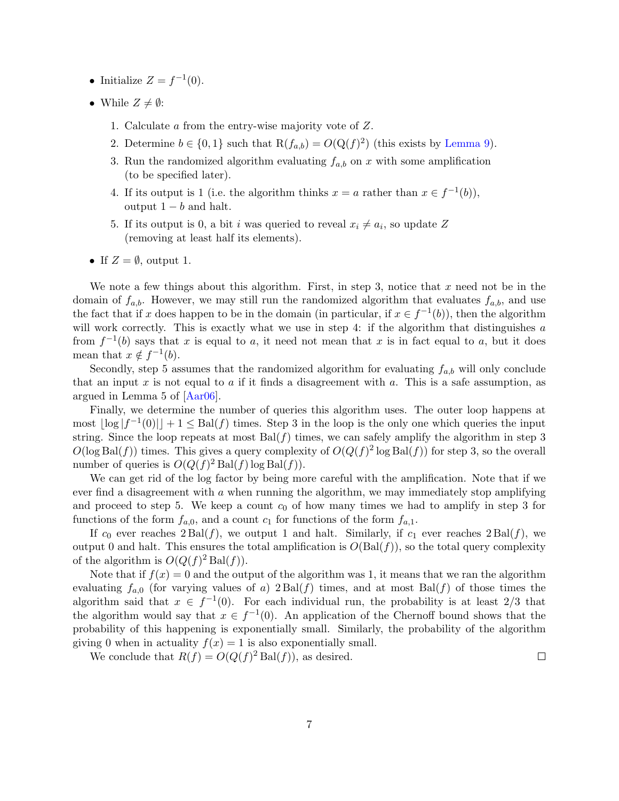- <span id="page-7-0"></span>• Initialize  $Z = f^{-1}(0)$ .
- While  $Z \neq \emptyset$ :
	- 1. Calculate a from the entry-wise majority vote of Z.
	- 2. Determine  $b \in \{0, 1\}$  such that  $R(f_{a,b}) = O(Q(f)^2)$  (this exists by [Lemma 9\)](#page-6-1).
	- 3. Run the randomized algorithm evaluating  $f_{a,b}$  on x with some amplification (to be specified later).
	- 4. If its output is 1 (i.e. the algorithm thinks  $x = a$  rather than  $x \in f^{-1}(b)$ ), output  $1 - b$  and halt.
	- 5. If its output is 0, a bit *i* was queried to reveal  $x_i \neq a_i$ , so update Z (removing at least half its elements).
- If  $Z = \emptyset$ , output 1.

We note a few things about this algorithm. First, in step 3, notice that  $x$  need not be in the domain of  $f_{a,b}$ . However, we may still run the randomized algorithm that evaluates  $f_{a,b}$ , and use the fact that if x does happen to be in the domain (in particular, if  $x \in f^{-1}(b)$ ), then the algorithm will work correctly. This is exactly what we use in step 4: if the algorithm that distinguishes a from  $f^{-1}(b)$  says that x is equal to a, it need not mean that x is in fact equal to a, but it does mean that  $x \notin f^{-1}(b)$ .

Secondly, step 5 assumes that the randomized algorithm for evaluating  $f_{a,b}$  will only conclude that an input x is not equal to a if it finds a disagreement with a. This is a safe assumption, as argued in Lemma 5 of [\[Aar06\]](#page-26-0).

Finally, we determine the number of queries this algorithm uses. The outer loop happens at most  $|\log |f^{-1}(0)|| + 1 \leq \text{Bal}(f)$  times. Step 3 in the loop is the only one which queries the input string. Since the loop repeats at most  $Bal(f)$  times, we can safely amplify the algorithm in step 3  $O(\log \text{Bal}(f))$  times. This gives a query complexity of  $O(Q(f)^2 \log \text{Bal}(f))$  for step 3, so the overall number of queries is  $O(Q(f)^2 \text{Bal}(f) \log \text{Bal}(f)).$ 

We can get rid of the log factor by being more careful with the amplification. Note that if we ever find a disagreement with  $a$  when running the algorithm, we may immediately stop amplifying and proceed to step 5. We keep a count  $c_0$  of how many times we had to amplify in step 3 for functions of the form  $f_{a,0}$ , and a count  $c_1$  for functions of the form  $f_{a,1}$ .

If  $c_0$  ever reaches  $2 \text{Bal}(f)$ , we output 1 and halt. Similarly, if  $c_1$  ever reaches  $2 \text{ Bal}(f)$ , we output 0 and halt. This ensures the total amplification is  $O(Bal(f))$ , so the total query complexity of the algorithm is  $O(Q(f)^2 \text{Bal}(f)).$ 

Note that if  $f(x) = 0$  and the output of the algorithm was 1, it means that we ran the algorithm evaluating  $f_{a,0}$  (for varying values of a)  $2 \text{Bal}(f)$  times, and at most  $\text{Bal}(f)$  of those times the algorithm said that  $x \in f^{-1}(0)$ . For each individual run, the probability is at least 2/3 that the algorithm would say that  $x \in f^{-1}(0)$ . An application of the Chernoff bound shows that the probability of this happening is exponentially small. Similarly, the probability of the algorithm giving 0 when in actuality  $f(x) = 1$  is also exponentially small.

We conclude that  $R(f) = O(Q(f)^2 \text{Bal}(f))$ , as desired.

 $\Box$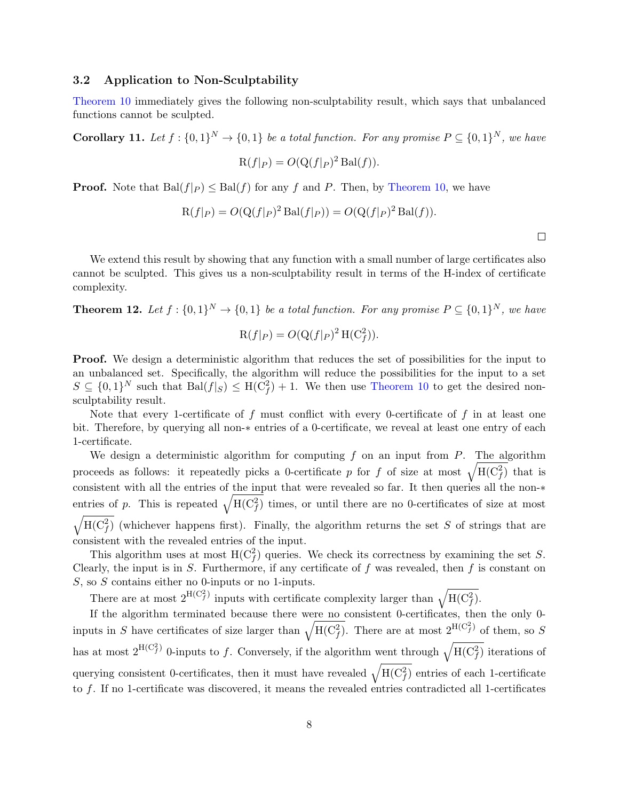#### <span id="page-8-0"></span>3.2 Application to Non-Sculptability

[Theorem 10](#page-6-2) immediately gives the following non-sculptability result, which says that unbalanced functions cannot be sculpted.

<span id="page-8-2"></span>**Corollary 11.** Let  $f: \{0,1\}^N \to \{0,1\}$  be a total function. For any promise  $P \subseteq \{0,1\}^N$ , we have

$$
R(f|_P) = O(Q(f|_P)^2 \operatorname{Bal}(f)).
$$

**Proof.** Note that  $\text{Bal}(f|_P) \leq \text{Bal}(f)$  for any f and P. Then, by [Theorem 10,](#page-6-2) we have

$$
R(f|P) = O(Q(f|P)^{2} \operatorname{Bal}(f|P)) = O(Q(f|P)^{2} \operatorname{Bal}(f)).
$$

 $\Box$ 

We extend this result by showing that any function with a small number of large certificates also cannot be sculpted. This gives us a non-sculptability result in terms of the H-index of certificate complexity.

<span id="page-8-1"></span>**Theorem 12.** Let  $f: \{0,1\}^N \to \{0,1\}$  be a total function. For any promise  $P \subseteq \{0,1\}^N$ , we have

$$
\mathcal{R}(f|_P) = O(\mathcal{Q}(f|_P)^2 \mathcal{H}(\mathcal{C}_f^2)).
$$

Proof. We design a deterministic algorithm that reduces the set of possibilities for the input to an unbalanced set. Specifically, the algorithm will reduce the possibilities for the input to a set  $S \subseteq \{0,1\}^N$  such that  $\text{Bal}(f|_S) \leq \text{H}(C_f^2) + 1$ . We then use [Theorem 10](#page-6-2) to get the desired nonsculptability result.

Note that every 1-certificate of  $f$  must conflict with every 0-certificate of  $f$  in at least one bit. Therefore, by querying all non-∗ entries of a 0-certificate, we reveal at least one entry of each 1-certificate.

We design a deterministic algorithm for computing f on an input from  $P$ . The algorithm proceeds as follows: it repeatedly picks a 0-certificate p for f of size at most  $\sqrt{H(C_f^2)}$  that is consistent with all the entries of the input that were revealed so far. It then queries all the non-∗ entries of p. This is repeated  $\sqrt{H(C_f^2)}$  times, or until there are no 0-certificates of size at most  $\sqrt{H(C_f^2)}$  (whichever happens first). Finally, the algorithm returns the set S of strings that are consistent with the revealed entries of the input.

This algorithm uses at most  $H(C_f^2)$  queries. We check its correctness by examining the set S. Clearly, the input is in  $S$ . Furthermore, if any certificate of  $f$  was revealed, then  $f$  is constant on  $S$ , so  $S$  contains either no 0-inputs or no 1-inputs.

There are at most  $2^{H(C_f^2)}$  inputs with certificate complexity larger than  $\sqrt{H(C_f^2)}$ .

If the algorithm terminated because there were no consistent 0-certificates, then the only 0 inputs in S have certificates of size larger than  $\sqrt{H(C_f^2)}$ . There are at most  $2^{H(C_f^2)}$  of them, so S has at most  $2^{H(C_f^2)}$  0-inputs to f. Conversely, if the algorithm went through  $\sqrt{H(C_f^2)}$  iterations of querying consistent 0-certificates, then it must have revealed  $\sqrt{H(C_f^2)}$  entries of each 1-certificate to f. If no 1-certificate was discovered, it means the revealed entries contradicted all 1-certificates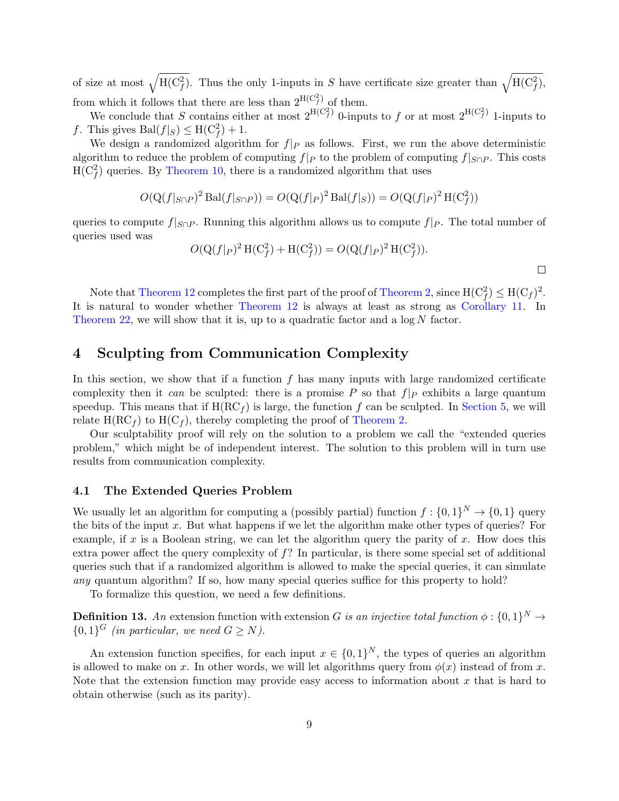of size at most  $\sqrt{H(C_f^2)}$ . Thus the only 1-inputs in S have certificate size greater than  $\sqrt{H(C_f^2)}$ , from which it follows that there are less than  $2^{H(C_f^2)}$  of them.

We conclude that S contains either at most  $2^{H(C_f^2)}$  0-inputs to f or at most  $2^{H(C_f^2)}$  1-inputs to f. This gives  $\text{Bal}(f|_S) \leq \text{H}(\text{C}_f^2) + 1$ .

We design a randomized algorithm for  $f|_P$  as follows. First, we run the above deterministic algorithm to reduce the problem of computing  $f|_P$  to the problem of computing  $f|_{S\cap P}$ . This costs  $H(C_f^2)$  queries. By [Theorem 10,](#page-6-2) there is a randomized algorithm that uses

$$
O(Q(f|_{S\cap P})^2 \operatorname{Bal}(f|_{S\cap P})) = O(Q(f|_P)^2 \operatorname{Bal}(f|_S)) = O(Q(f|_P)^2 \operatorname{H}(C_f^2))
$$

queries to compute  $f|_{S\cap P}$ . Running this algorithm allows us to compute  $f|_{P}$ . The total number of queries used was

$$
O(Q(f|_P)^2 H(C_f^2) + H(C_f^2)) = O(Q(f|_P)^2 H(C_f^2)).
$$

Note that [Theorem 12](#page-8-1) completes the first part of the proof of [Theorem 2,](#page-2-0) since  $H(C_f^2) \leq H(C_f)^2$ . It is natural to wonder whether [Theorem 12](#page-8-1) is always at least as strong as [Corollary 11.](#page-8-2) In [Theorem 22,](#page-15-0) we will show that it is, up to a quadratic factor and a  $\log N$  factor.

## <span id="page-9-0"></span>4 Sculpting from Communication Complexity

In this section, we show that if a function  $f$  has many inputs with large randomized certificate complexity then it can be sculpted: there is a promise P so that  $f|_P$  exhibits a large quantum speedup. This means that if  $H(RC<sub>f</sub>)$  is large, the function f can be sculpted. In [Section 5,](#page-14-0) we will relate  $H(RC<sub>f</sub>)$  to  $H(C<sub>f</sub>)$ , thereby completing the proof of [Theorem 2.](#page-2-0)

Our sculptability proof will rely on the solution to a problem we call the "extended queries problem," which might be of independent interest. The solution to this problem will in turn use results from communication complexity.

#### 4.1 The Extended Queries Problem

We usually let an algorithm for computing a (possibly partial) function  $f: \{0,1\}^N \to \{0,1\}$  query the bits of the input x. But what happens if we let the algorithm make other types of queries? For example, if x is a Boolean string, we can let the algorithm query the parity of x. How does this extra power affect the query complexity of  $f$ ? In particular, is there some special set of additional queries such that if a randomized algorithm is allowed to make the special queries, it can simulate any quantum algorithm? If so, how many special queries suffice for this property to hold?

To formalize this question, we need a few definitions.

**Definition 13.** An extension function with extension G is an injective total function  $\phi: \{0,1\}^N \to$  ${0,1}^G$  (in particular, we need  $G \geq N$ ).

An extension function specifies, for each input  $x \in \{0,1\}^N$ , the types of queries an algorithm is allowed to make on x. In other words, we will let algorithms query from  $\phi(x)$  instead of from x. Note that the extension function may provide easy access to information about  $x$  that is hard to obtain otherwise (such as its parity).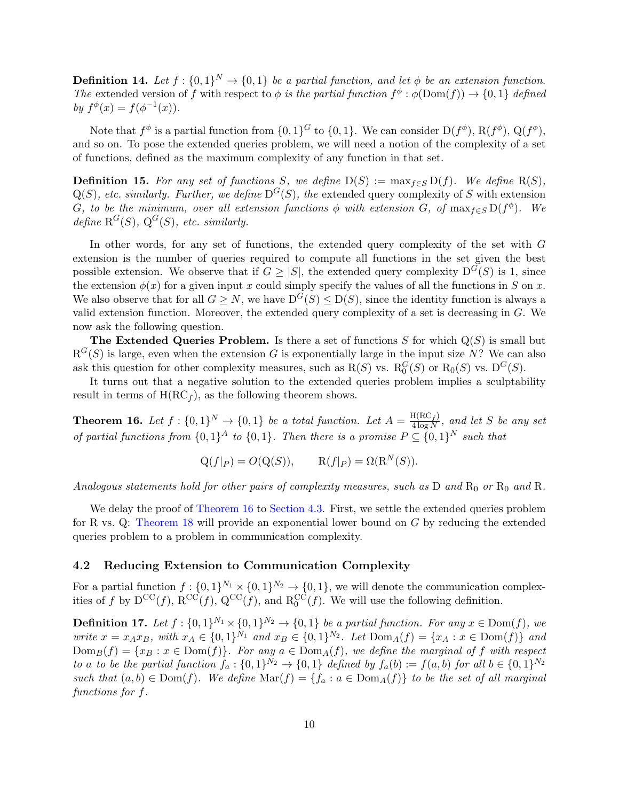**Definition 14.** Let  $f : \{0,1\}^N \to \{0,1\}$  be a partial function, and let  $\phi$  be an extension function. The extended version of f with respect to  $\phi$  is the partial function  $f^{\phi} : \phi(\text{Dom}(f)) \to \{0,1\}$  defined by  $f^{\phi}(x) = f(\phi^{-1}(x)).$ 

Note that  $f^{\phi}$  is a partial function from  $\{0,1\}^G$  to  $\{0,1\}$ . We can consider  $D(f^{\phi}), B(f^{\phi}), Q(f^{\phi}),$ and so on. To pose the extended queries problem, we will need a notion of the complexity of a set of functions, defined as the maximum complexity of any function in that set.

**Definition 15.** For any set of functions S, we define  $D(S) := \max_{f \in S} D(f)$ . We define  $R(S)$ ,  $Q(S)$ , etc. similarly. Further, we define  $D^{G}(S)$ , the extended query complexity of S with extension G, to be the minimum, over all extension functions  $\phi$  with extension G, of  $\max_{f \in S} D(f^{\phi})$ . We define  $R^G(S)$ ,  $Q^G(S)$ , etc. similarly.

In other words, for any set of functions, the extended query complexity of the set with G extension is the number of queries required to compute all functions in the set given the best possible extension. We observe that if  $G \geq |S|$ , the extended query complexity  $D^{G}(S)$  is 1, since the extension  $\phi(x)$  for a given input x could simply specify the values of all the functions in S on x. We also observe that for all  $G \geq N$ , we have  $D^{G}(S) \leq D(S)$ , since the identity function is always a valid extension function. Moreover, the extended query complexity of a set is decreasing in G. We now ask the following question.

The Extended Queries Problem. Is there a set of functions  $S$  for which  $Q(S)$  is small but  $R^G(S)$  is large, even when the extension G is exponentially large in the input size N? We can also ask this question for other complexity measures, such as  $R(S)$  vs.  $R_0^G(S)$  or  $R_0(S)$  vs.  $D^G(S)$ .

It turns out that a negative solution to the extended queries problem implies a sculptability result in terms of  $H(RC<sub>f</sub>)$ , as the following theorem shows.

<span id="page-10-0"></span>**Theorem 16.** Let  $f: \{0,1\}^N \to \{0,1\}$  be a total function. Let  $A = \frac{H(RC_f)}{A \log N}$  $\frac{A(\mathbf{R} \cup f)}{4 \log N}$ , and let S be any set of partial functions from  $\{0,1\}^A$  to  $\{0,1\}$ . Then there is a promise  $P \subseteq \{0,1\}^N$  such that

$$
Q(f|_P) = O(Q(S)), \qquad R(f|_P) = \Omega(R^N(S)).
$$

Analogous statements hold for other pairs of complexity measures, such as  $D$  and  $R_0$  or  $R_0$  and  $R$ .

We delay the proof of [Theorem 16](#page-10-0) to [Section 4.3.](#page-12-0) First, we settle the extended queries problem for R vs. Q: [Theorem 18](#page-11-0) will provide an exponential lower bound on G by reducing the extended queries problem to a problem in communication complexity.

#### 4.2 Reducing Extension to Communication Complexity

For a partial function  $f: \{0,1\}^{N_1} \times \{0,1\}^{N_2} \to \{0,1\}$ , we will denote the communication complexities of f by  $D^{CC}(f)$ ,  $R^{CC}(f)$ ,  $Q^{CC}(f)$ , and  $R_0^{CC}(f)$ . We will use the following definition.

**Definition 17.** Let  $f : \{0,1\}^{N_1} \times \{0,1\}^{N_2} \rightarrow \{0,1\}$  be a partial function. For any  $x \in \text{Dom}(f)$ , we write  $x = x_A x_B$ , with  $x_A \in \{0,1\}^{N_1}$  and  $x_B \in \{0,1\}^{N_2}$ . Let  $\text{Dom}_A(f) = \{x_A : x \in \text{Dom}(f)\}$  and  $\text{Dom}_B(f) = \{x_B : x \in \text{Dom}(f)\}.$  For any  $a \in \text{Dom}_A(f)$ , we define the marginal of f with respect to a to be the partial function  $f_a: \{0,1\}^{N_2} \to \{0,1\}$  defined by  $f_a(b) := f(a, b)$  for all  $b \in \{0,1\}^{N_2}$ such that  $(a, b) \in \text{Dom}(f)$ . We define  $\text{Mar}(f) = \{f_a : a \in \text{Dom}_A(f)\}\$  to be the set of all marginal functions for f.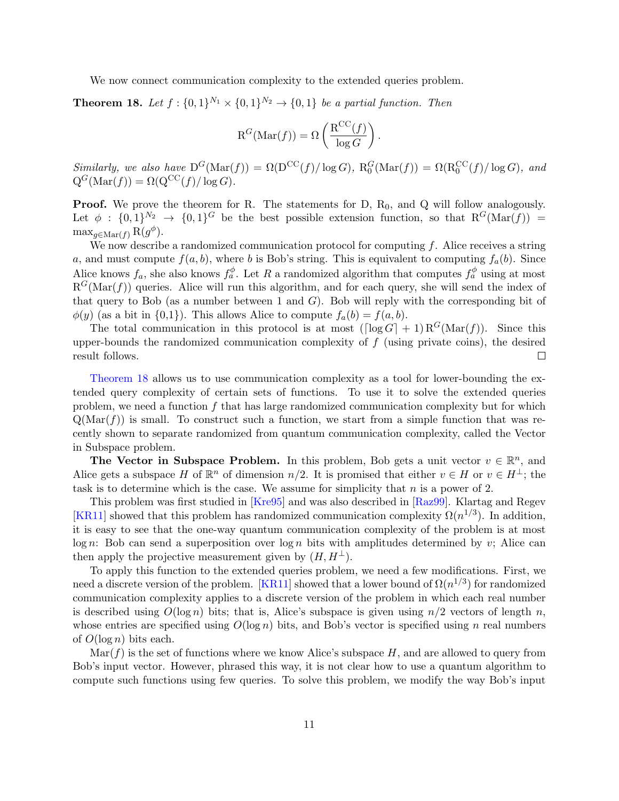<span id="page-11-1"></span>We now connect communication complexity to the extended queries problem.

<span id="page-11-0"></span>**Theorem 18.** Let  $f: \{0,1\}^{N_1} \times \{0,1\}^{N_2} \rightarrow \{0,1\}$  be a partial function. Then

$$
\textup{R}^G(\textup{Mar}(f)) = \Omega\left(\frac{\textup{R}^\textup{CC}(f)}{\log G}\right)
$$

.

Similarly, we also have  $D^{G}(\text{Mar}(f)) = \Omega(D^{CC}(f)/\log G)$ ,  $R_0^G(\text{Mar}(f)) = \Omega(R_0^{CC}(f)/\log G)$ , and  $Q^G(\text{Mar}(f)) = \Omega(Q^{\text{CC}}(f)/\log G).$ 

**Proof.** We prove the theorem for R. The statements for D,  $R_0$ , and Q will follow analogously. Let  $\phi : \{0,1\}^{N_2} \to \{0,1\}^G$  be the best possible extension function, so that  $R^G(\text{Mar}(f)) =$  $\max_{g \in \text{Mar}(f)} R(g^{\phi}).$ 

We now describe a randomized communication protocol for computing  $f$ . Alice receives a string a, and must compute  $f(a, b)$ , where b is Bob's string. This is equivalent to computing  $f_a(b)$ . Since Alice knows  $f_a$ , she also knows  $f_a^{\phi}$ . Let R a randomized algorithm that computes  $f_a^{\phi}$  using at most  $R^{G}(\text{Mar}(f))$  queries. Alice will run this algorithm, and for each query, she will send the index of that query to Bob (as a number between 1 and  $G$ ). Bob will reply with the corresponding bit of  $\phi(y)$  (as a bit in  $\{0,1\}$ ). This allows Alice to compute  $f_a(b) = f(a, b)$ .

The total communication in this protocol is at most  $(\lceil \log G \rceil + 1) R^{G}(\text{Mar}(f))$ . Since this upper-bounds the randomized communication complexity of  $f$  (using private coins), the desired result follows.  $\Box$ 

[Theorem 18](#page-11-0) allows us to use communication complexity as a tool for lower-bounding the extended query complexity of certain sets of functions. To use it to solve the extended queries problem, we need a function f that has large randomized communication complexity but for which  $Q(Mar(f))$  is small. To construct such a function, we start from a simple function that was recently shown to separate randomized from quantum communication complexity, called the Vector in Subspace problem.

The Vector in Subspace Problem. In this problem, Bob gets a unit vector  $v \in \mathbb{R}^n$ , and Alice gets a subspace H of  $\mathbb{R}^n$  of dimension  $n/2$ . It is promised that either  $v \in H$  or  $v \in H^{\perp}$ ; the task is to determine which is the case. We assume for simplicity that  $n$  is a power of 2.

This problem was first studied in [\[Kre95\]](#page-27-8) and was also described in [\[Raz99\]](#page-27-9). Klartag and Regev [\[KR11\]](#page-27-10) showed that this problem has randomized communication complexity  $\Omega(n^{1/3})$ . In addition, it is easy to see that the one-way quantum communication complexity of the problem is at most  $\log n$ : Bob can send a superposition over  $\log n$  bits with amplitudes determined by v; Alice can then apply the projective measurement given by  $(H, H^{\perp})$ .

To apply this function to the extended queries problem, we need a few modifications. First, we need a discrete version of the problem. [\[KR11\]](#page-27-10) showed that a lower bound of  $\Omega(n^{1/3})$  for randomized communication complexity applies to a discrete version of the problem in which each real number is described using  $O(\log n)$  bits; that is, Alice's subspace is given using  $n/2$  vectors of length n, whose entries are specified using  $O(\log n)$  bits, and Bob's vector is specified using n real numbers of  $O(\log n)$  bits each.

 $\text{Mar}(f)$  is the set of functions where we know Alice's subspace H, and are allowed to query from Bob's input vector. However, phrased this way, it is not clear how to use a quantum algorithm to compute such functions using few queries. To solve this problem, we modify the way Bob's input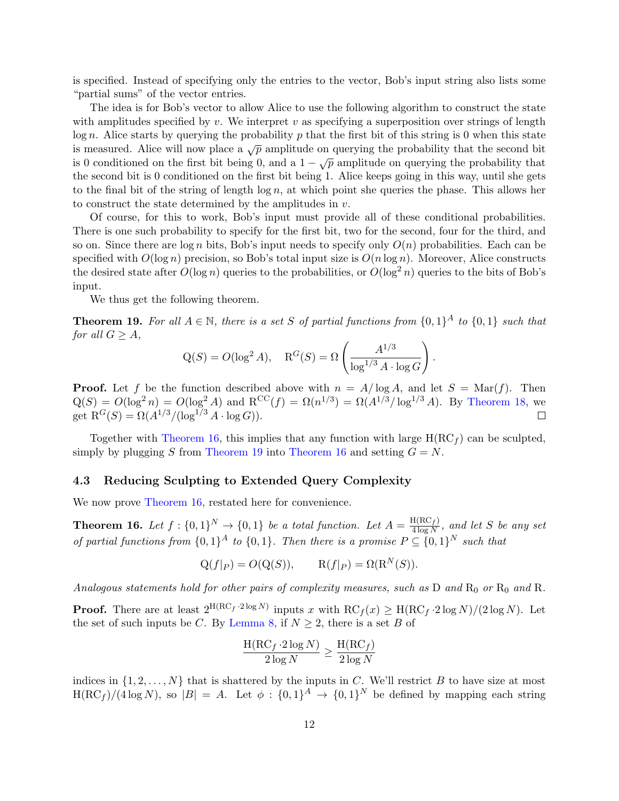is specified. Instead of specifying only the entries to the vector, Bob's input string also lists some "partial sums" of the vector entries.

The idea is for Bob's vector to allow Alice to use the following algorithm to construct the state with amplitudes specified by v. We interpret v as specifying a superposition over strings of length  $\log n$ . Alice starts by querying the probability p that the first bit of this string is 0 when this state is measured. Alice will now place a  $\sqrt{p}$  amplitude on querying the probability that the second bit is measured. There will now place a  $\sqrt{\rho}$  amplitude on querying the probability that is 0 conditioned on the first bit being 0, and a  $1 - \sqrt{\rho}$  amplitude on querying the probability that the second bit is 0 conditioned on the first bit being 1. Alice keeps going in this way, until she gets to the final bit of the string of length  $\log n$ , at which point she queries the phase. This allows her to construct the state determined by the amplitudes in  $v$ .

Of course, for this to work, Bob's input must provide all of these conditional probabilities. There is one such probability to specify for the first bit, two for the second, four for the third, and so on. Since there are  $\log n$  bits, Bob's input needs to specify only  $O(n)$  probabilities. Each can be specified with  $O(\log n)$  precision, so Bob's total input size is  $O(n \log n)$ . Moreover, Alice constructs the desired state after  $O(\log n)$  queries to the probabilities, or  $O(\log^2 n)$  queries to the bits of Bob's input.

We thus get the following theorem.

<span id="page-12-1"></span>**Theorem 19.** For all  $A \in \mathbb{N}$ , there is a set S of partial functions from  $\{0,1\}^A$  to  $\{0,1\}$  such that for all  $G \geq A$ ,

$$
Q(S) = O(\log^2 A), \quad R^G(S) = \Omega\left(\frac{A^{1/3}}{\log^{1/3} A \cdot \log G}\right).
$$

**Proof.** Let f be the function described above with  $n = A/\log A$ , and let  $S = \text{Mar}(f)$ . Then  $Q(S) = O(\log^2 n) = O(\log^2 A)$  and  $R^{CC}(f) = \Omega(n^{1/3}) = \Omega(A^{1/3}/\log^{1/3} A)$ . By [Theorem 18,](#page-11-0) we get  $R^G(S) = \Omega(A^{1/3}/(\log^{1/3} A \cdot \log G)).$  $\Box$ 

Together with [Theorem 16,](#page-10-0) this implies that any function with large  $H(RC<sub>f</sub>)$  can be sculpted, simply by plugging S from [Theorem 19](#page-12-1) into [Theorem 16](#page-10-0) and setting  $G = N$ .

#### <span id="page-12-0"></span>4.3 Reducing Sculpting to Extended Query Complexity

We now prove [Theorem 16,](#page-10-0) restated here for convenience.

**Theorem 16.** Let  $f: \{0,1\}^N \to \{0,1\}$  be a total function. Let  $A = \frac{H(RC_f)}{A \log N}$  $\frac{A(\mathbf{R} \cup f)}{4 \log N}$ , and let S be any set of partial functions from  $\{0,1\}^A$  to  $\{0,1\}$ . Then there is a promise  $P \subseteq \{0,1\}^N$  such that

$$
Q(f|_P) = O(Q(S)), \qquad R(f|_P) = \Omega(R^N(S)).
$$

Analogous statements hold for other pairs of complexity measures, such as  $D$  and  $R_0$  or  $R_0$  and  $R$ .

**Proof.** There are at least  $2^{H(RC_f \cdot 2 \log N)}$  inputs x with  $RC_f(x) \geq H(RC_f \cdot 2 \log N)/(2 \log N)$ . Let the set of such inputs be C. By [Lemma 8,](#page-5-0) if  $N \geq 2$ , there is a set B of

$$
\frac{\text{H}(\text{RC}_f \cdot 2 \log N)}{2 \log N} \ge \frac{\text{H}(\text{RC}_f)}{2 \log N}
$$

indices in  $\{1, 2, \ldots, N\}$  that is shattered by the inputs in C. We'll restrict B to have size at most  $H(RC_f)/(4 \log N)$ , so  $|B| = A$ . Let  $\phi : \{0,1\}^A \to \{0,1\}^N$  be defined by mapping each string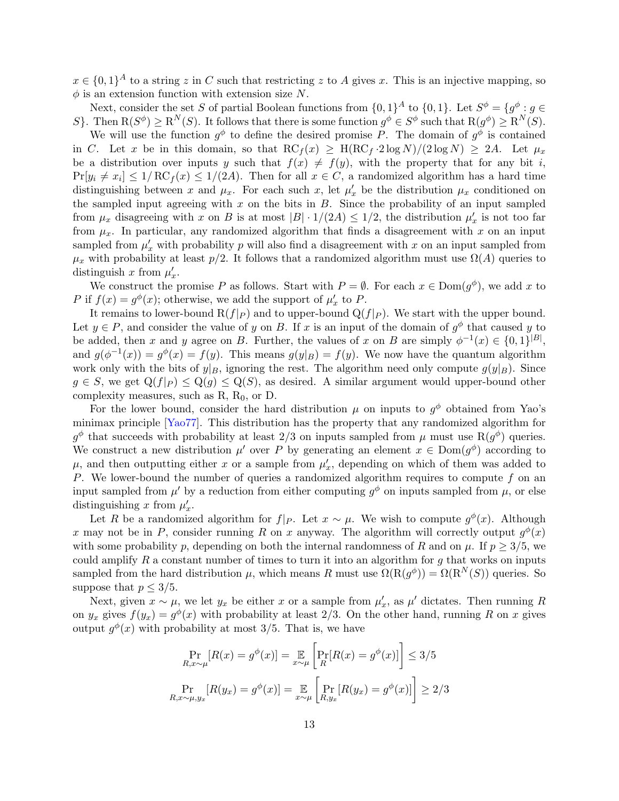<span id="page-13-0"></span> $x \in \{0,1\}^A$  to a string z in C such that restricting z to A gives x. This is an injective mapping, so  $\phi$  is an extension function with extension size N.

Next, consider the set S of partial Boolean functions from  $\{0,1\}^A$  to  $\{0,1\}$ . Let  $S^{\phi} = \{g^{\phi} : g \in S\}$ S. Then  $R(S^{\phi}) \ge R^{N}(S)$ . It follows that there is some function  $g^{\phi} \in S^{\phi}$  such that  $R(g^{\phi}) \ge R^{N}(S)$ .

We will use the function  $g^{\phi}$  to define the desired promise P. The domain of  $g^{\phi}$  is contained in C. Let x be in this domain, so that  $\mathrm{RC}_f(x) \geq \mathrm{H}(\mathrm{RC}_f \cdot 2 \log N)/(2 \log N) \geq 2A$ . Let  $\mu_x$ be a distribution over inputs y such that  $f(x) \neq f(y)$ , with the property that for any bit i,  $Pr[y_i \neq x_i] \leq 1/RC_f(x) \leq 1/(2A)$ . Then for all  $x \in C$ , a randomized algorithm has a hard time distinguishing between x and  $\mu_x$ . For each such x, let  $\mu'_x$  be the distribution  $\mu_x$  conditioned on the sampled input agreeing with  $x$  on the bits in  $B$ . Since the probability of an input sampled from  $\mu_x$  disagreeing with x on B is at most  $|B| \cdot 1/(2A) \leq 1/2$ , the distribution  $\mu'_x$  is not too far from  $\mu_x$ . In particular, any randomized algorithm that finds a disagreement with x on an input sampled from  $\mu'_x$  with probability p will also find a disagreement with x on an input sampled from  $\mu_x$  with probability at least  $p/2$ . It follows that a randomized algorithm must use  $\Omega(A)$  queries to distinguish x from  $\mu'_x$ .

We construct the promise P as follows. Start with  $P = \emptyset$ . For each  $x \in \text{Dom}(g^{\phi})$ , we add x to P if  $f(x) = g^{\phi}(x)$ ; otherwise, we add the support of  $\mu'_x$  to P.

It remains to lower-bound  $R(f|_P)$  and to upper-bound  $Q(f|_P)$ . We start with the upper bound. Let  $y \in P$ , and consider the value of y on B. If x is an input of the domain of  $g^{\phi}$  that caused y to be added, then x and y agree on B. Further, the values of x on B are simply  $\phi^{-1}(x) \in \{0,1\}^{|B|}$ , and  $g(\phi^{-1}(x)) = g^{\phi}(x) = f(y)$ . This means  $g(y|_B) = f(y)$ . We now have the quantum algorithm work only with the bits of  $y|_B$ , ignoring the rest. The algorithm need only compute  $g(y|_B)$ . Since  $g \in S$ , we get  $Q(f|_P) \leq Q(g) \leq Q(S)$ , as desired. A similar argument would upper-bound other complexity measures, such as  $R$ ,  $R_0$ , or  $D$ .

For the lower bound, consider the hard distribution  $\mu$  on inputs to  $g^{\phi}$  obtained from Yao's minimax principle [\[Yao77\]](#page-28-3). This distribution has the property that any randomized algorithm for  $g^{\phi}$  that succeeds with probability at least 2/3 on inputs sampled from  $\mu$  must use R $(g^{\phi})$  queries. We construct a new distribution  $\mu'$  over P by generating an element  $x \in Dom(g^{\phi})$  according to  $\mu$ , and then outputting either x or a sample from  $\mu'_x$ , depending on which of them was added to P. We lower-bound the number of queries a randomized algorithm requires to compute  $f$  on an input sampled from  $\mu'$  by a reduction from either computing  $g^{\phi}$  on inputs sampled from  $\mu$ , or else distinguishing x from  $\mu'_x$ .

Let R be a randomized algorithm for  $f|_P$ . Let  $x \sim \mu$ . We wish to compute  $g^{\phi}(x)$ . Although x may not be in P, consider running R on x anyway. The algorithm will correctly output  $g^{\phi}(x)$ with some probability p, depending on both the internal randomness of R and on  $\mu$ . If  $p > 3/5$ , we could amplify  $R$  a constant number of times to turn it into an algorithm for  $g$  that works on inputs sampled from the hard distribution  $\mu$ , which means R must use  $\Omega(\mathcal{R}(g^{\phi})) = \Omega(\mathcal{R}^{N}(S))$  queries. So suppose that  $p \leq 3/5$ .

Next, given  $x \sim \mu$ , we let  $y_x$  be either x or a sample from  $\mu'_x$ , as  $\mu'$  dictates. Then running R on  $y_x$  gives  $f(y_x) = g^{\phi}(x)$  with probability at least 2/3. On the other hand, running R on x gives output  $g^{\phi}(x)$  with probability at most 3/5. That is, we have

$$
\Pr_{R,x \sim \mu}[R(x) = g^{\phi}(x)] = \mathop{\mathbb{E}}_{x \sim \mu} \left[ \Pr_R[R(x) = g^{\phi}(x)] \right] \le 3/5
$$
\n
$$
\Pr_{R,x \sim \mu, y_x}[R(y_x) = g^{\phi}(x)] = \mathop{\mathbb{E}}_{x \sim \mu} \left[ \Pr_{R,y_x}[R(y_x) = g^{\phi}(x)] \right] \ge 2/3
$$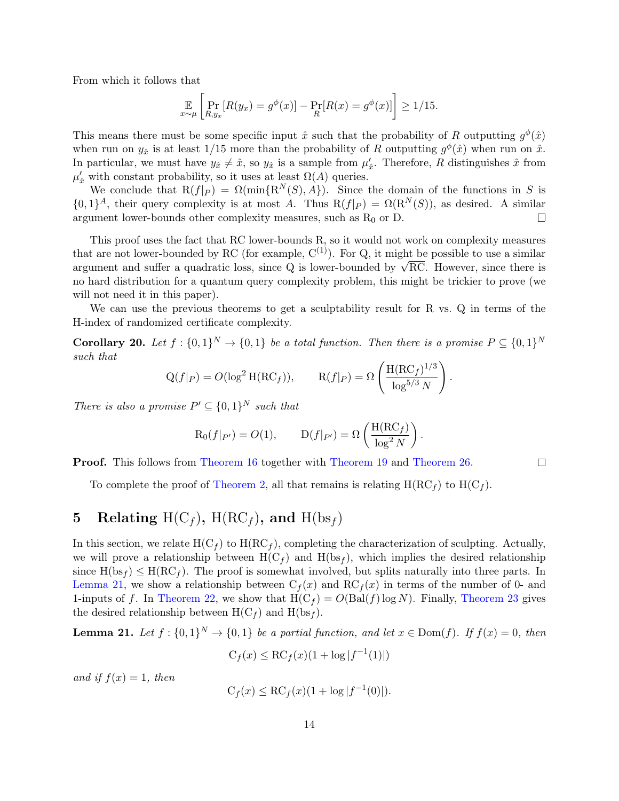From which it follows that

$$
\mathbb{E}_{x \sim \mu} \left[ \Pr_{R, y_x} \left[ R(y_x) = g^{\phi}(x) \right] - \Pr_R[R(x) = g^{\phi}(x)] \right] \ge 1/15.
$$

This means there must be some specific input  $\hat{x}$  such that the probability of R outputting  $g^{\phi}(\hat{x})$ when run on  $y_{\hat{x}}$  is at least 1/15 more than the probability of R outputting  $g^{\phi}(\hat{x})$  when run on  $\hat{x}$ . In particular, we must have  $y_{\hat{x}} \neq \hat{x}$ , so  $y_{\hat{x}}$  is a sample from  $\mu'_{\hat{x}}$ . Therefore, R distinguishes  $\hat{x}$  from  $\mu'_{\hat{x}}$  with constant probability, so it uses at least  $\Omega(A)$  queries.

We conclude that  $R(f|_P) = \Omega(\min\{R^N(S), A\})$ . Since the domain of the functions in S is  ${0,1}^A$ , their query complexity is at most A. Thus  $R(f|_P) = \Omega(R^N(S))$ , as desired. A similar argument lower-bounds other complexity measures, such as  $R_0$  or D.  $\Box$ 

This proof uses the fact that RC lower-bounds R, so it would not work on complexity measures that are not lower-bounded by RC (for example,  $C^{(1)}$ ). For Q, it might be possible to use a similar that are not lower-bounded by KC (for example, C<sup>(-7)</sup>). For Q, it might be possible to use a similar argument and suffer a quadratic loss, since Q is lower-bounded by  $\sqrt{RC}$ . However, since there is no hard distribution for a quantum query complexity problem, this might be trickier to prove (we will not need it in this paper).

We can use the previous theorems to get a sculptability result for R vs. Q in terms of the H-index of randomized certificate complexity.

<span id="page-14-2"></span>**Corollary 20.** Let  $f: \{0,1\}^N \to \{0,1\}$  be a total function. Then there is a promise  $P \subseteq \{0,1\}^N$ such that

$$
Q(f|_P) = O(\log^2 H(\mathrm{RC}_f)), \qquad R(f|_P) = \Omega \left( \frac{H(\mathrm{RC}_f)^{1/3}}{\log^{5/3} N} \right).
$$

There is also a promise  $P' \subseteq \{0,1\}^N$  such that

$$
R_0(f|_{P'}) = O(1), \qquad D(f|_{P'}) = \Omega\left(\frac{H(RC_f)}{\log^2 N}\right).
$$

 $\Box$ 

Proof. This follows from [Theorem 16](#page-10-0) together with [Theorem 19](#page-12-1) and [Theorem 26.](#page-18-0)

To complete the proof of [Theorem 2,](#page-2-0) all that remains is relating  $H(RC<sub>f</sub>)$  to  $H(C<sub>f</sub>)$ .

# <span id="page-14-0"></span>5 Relating  $H(C_f)$ ,  $H(RC_f)$ , and  $H(bsg)$

In this section, we relate  $H(C_f)$  to  $H(RC_f)$ , completing the characterization of sculpting. Actually, we will prove a relationship between  $H(C_f)$  and  $H(bs_f)$ , which implies the desired relationship since  $H(bsf) \leq H(RC<sub>f</sub>)$ . The proof is somewhat involved, but splits naturally into three parts. In [Lemma 21,](#page-14-1) we show a relationship between  $C_f(x)$  and  $RC_f(x)$  in terms of the number of 0- and 1-inputs of f. In [Theorem 22,](#page-15-0) we show that  $H(C_f) = O(Bal(f) \log N)$ . Finally, [Theorem 23](#page-16-0) gives the desired relationship between  $H(C_f)$  and  $H(bsg)$ .

<span id="page-14-1"></span>**Lemma 21.** Let  $f: \{0,1\}^N \to \{0,1\}$  be a partial function, and let  $x \in \text{Dom}(f)$ . If  $f(x) = 0$ , then

$$
C_f(x) \leq RC_f(x)(1 + \log|f^{-1}(1)|)
$$

and if  $f(x) = 1$ , then

$$
C_f(x) \leq RC_f(x)(1 + \log |f^{-1}(0)|).
$$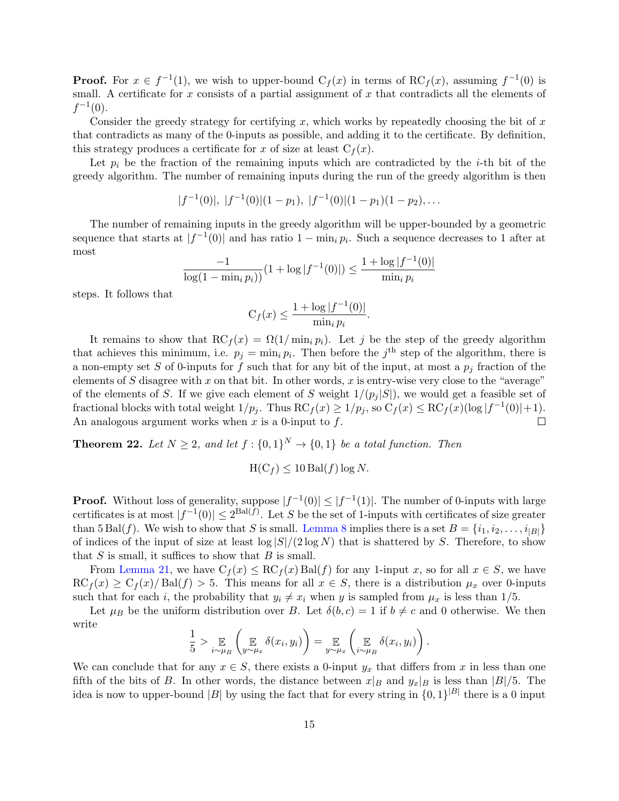**Proof.** For  $x \in f^{-1}(1)$ , we wish to upper-bound  $C_f(x)$  in terms of  $RC_f(x)$ , assuming  $f^{-1}(0)$  is small. A certificate for  $x$  consists of a partial assignment of  $x$  that contradicts all the elements of  $f^{-1}(0)$ .

Consider the greedy strategy for certifying x, which works by repeatedly choosing the bit of  $x$ that contradicts as many of the 0-inputs as possible, and adding it to the certificate. By definition, this strategy produces a certificate for x of size at least  $C_f(x)$ .

Let  $p_i$  be the fraction of the remaining inputs which are contradicted by the *i*-th bit of the greedy algorithm. The number of remaining inputs during the run of the greedy algorithm is then

$$
|f^{-1}(0)|, |f^{-1}(0)|(1-p_1), |f^{-1}(0)|(1-p_1)(1-p_2),...
$$

The number of remaining inputs in the greedy algorithm will be upper-bounded by a geometric sequence that starts at  $|f^{-1}(0)|$  and has ratio  $1 - \min_i p_i$ . Such a sequence decreases to 1 after at most

$$
\frac{-1}{\log(1 - \min_i p_i)} (1 + \log |f^{-1}(0)|) \le \frac{1 + \log |f^{-1}(0)|}{\min_i p_i}
$$

steps. It follows that

$$
C_f(x) \le \frac{1 + \log |f^{-1}(0)|}{\min_i p_i}.
$$

It remains to show that  $\mathrm{RC}_f(x) = \Omega(1/\min_i p_i)$ . Let j be the step of the greedy algorithm that achieves this minimum, i.e.  $p_j = \min_i p_i$ . Then before the j<sup>th</sup> step of the algorithm, there is a non-empty set S of 0-inputs for f such that for any bit of the input, at most a  $p_i$  fraction of the elements of S disagree with x on that bit. In other words, x is entry-wise very close to the "average" of the elements of S. If we give each element of S weight  $1/(p_i |S|)$ , we would get a feasible set of fractional blocks with total weight  $1/p_j$ . Thus  $\mathrm{RC}_f(x) \geq 1/p_j$ , so  $\mathrm{C}_f(x) \leq \mathrm{RC}_f(x)(\log|f^{-1}(0)|+1)$ . An analogous argument works when  $x$  is a 0-input to  $f$ .  $\Box$ 

<span id="page-15-0"></span>**Theorem 22.** Let  $N \geq 2$ , and let  $f : \{0,1\}^N \to \{0,1\}$  be a total function. Then

 $H(C_f) \leq 10$  Bal $(f)$  log N.

**Proof.** Without loss of generality, suppose  $|f^{-1}(0)| \leq |f^{-1}(1)|$ . The number of 0-inputs with large certificates is at most  $|f^{-1}(0)| \leq 2^{\text{Bal}(f)}$ . Let S be the set of 1-inputs with certificates of size greater than 5 Bal(f). We wish to show that S is small. [Lemma 8](#page-5-0) implies there is a set  $B = \{i_1, i_2, \ldots, i_{|B|}\}\$ of indices of the input of size at least  $\log |S|/(2 \log N)$  that is shattered by S. Therefore, to show that  $S$  is small, it suffices to show that  $B$  is small.

From [Lemma 21,](#page-14-1) we have  $C_f(x) \leq R C_f(x)$  Bal(f) for any 1-input x, so for all  $x \in S$ , we have  $\mathrm{RC}_f(x) \geq \mathrm{C}_f(x)/\mathrm{Bal}(f) > 5$ . This means for all  $x \in S$ , there is a distribution  $\mu_x$  over 0-inputs such that for each i, the probability that  $y_i \neq x_i$  when y is sampled from  $\mu_x$  is less than 1/5.

Let  $\mu_B$  be the uniform distribution over B. Let  $\delta(b, c) = 1$  if  $b \neq c$  and 0 otherwise. We then write

$$
\frac{1}{5} > \mathop{\mathbb{E}}_{i \sim \mu_B} \left( \mathop{\mathbb{E}}_{y \sim \mu_x} \delta(x_i, y_i) \right) = \mathop{\mathbb{E}}_{y \sim \mu_x} \left( \mathop{\mathbb{E}}_{i \sim \mu_B} \delta(x_i, y_i) \right).
$$

We can conclude that for any  $x \in S$ , there exists a 0-input  $y_x$  that differs from x in less than one fifth of the bits of B. In other words, the distance between  $x|_B$  and  $y_x|_B$  is less than  $|B|/5$ . The idea is now to upper-bound |B| by using the fact that for every string in  $\{0,1\}^{|B|}$  there is a 0 input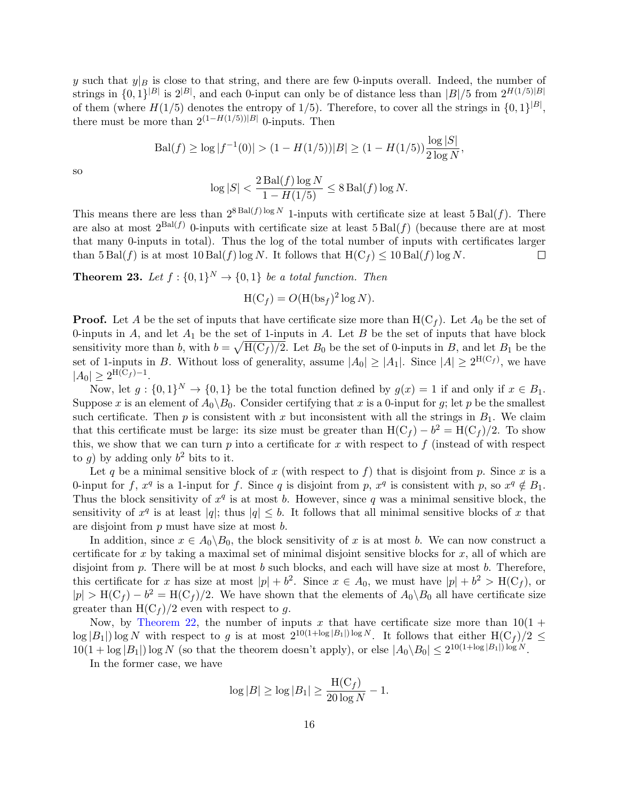y such that  $y|_B$  is close to that string, and there are few 0-inputs overall. Indeed, the number of strings in  $\{0,1\}^{|B|}$  is  $2^{|B|}$ , and each 0-input can only be of distance less than  $|B|/5$  from  $2^{H(1/5)|B|}$ of them (where  $H(1/5)$  denotes the entropy of 1/5). Therefore, to cover all the strings in  $\{0,1\}^{|B|}$ , there must be more than  $2^{(1-H(1/5))|B|}$  0-inputs. Then

$$
\text{Bal}(f) \ge \log|f^{-1}(0)| > (1 - H(1/5))|B| \ge (1 - H(1/5))\frac{\log|S|}{2\log N},
$$

so

$$
\log |S| < \frac{2 \operatorname{Bal}(f) \log N}{1 - H(1/5)} \le 8 \operatorname{Bal}(f) \log N.
$$

This means there are less than  $2^{8 \text{ Bal}(f) \log N}$  1-inputs with certificate size at least 5 Bal(f). There are also at most  $2^{Bal(f)}$  0-inputs with certificate size at least  $5 Bal(f)$  (because there are at most that many 0-inputs in total). Thus the log of the total number of inputs with certificates larger than  $5 \text{ Bal}(f)$  is at most  $10 \text{ Bal}(f) \log N$ . It follows that  $H(C_f) \leq 10 \text{ Bal}(f) \log N$ .  $\Box$ 

<span id="page-16-0"></span>**Theorem 23.** Let  $f: \{0,1\}^N \to \{0,1\}$  be a total function. Then

$$
H(C_f) = O(H(bsf)^2 \log N).
$$

**Proof.** Let A be the set of inputs that have certificate size more than  $H(C_f)$ . Let  $A_0$  be the set of 0-inputs in  $A$ , and let  $A_1$  be the set of 1-inputs in  $A$ . Let  $B$  be the set of inputs that have block sensitivity more than b, with  $b = \sqrt{H(C_f)/2}$ . Let  $B_0$  be the set of 0-inputs in B, and let  $B_1$  be the set of 1-inputs in B. Without loss of generality, assume  $|A_0| \geq |A_1|$ . Since  $|A| \geq 2^{H(C_f)}$ , we have  $|A_0| \geq 2^{\text{H}(\text{C}_f) - 1}.$ 

Now, let  $g: \{0,1\}^N \to \{0,1\}$  be the total function defined by  $g(x) = 1$  if and only if  $x \in B_1$ . Suppose x is an element of  $A_0 \backslash B_0$ . Consider certifying that x is a 0-input for g; let p be the smallest such certificate. Then  $p$  is consistent with  $x$  but inconsistent with all the strings in  $B_1$ . We claim that this certificate must be large: its size must be greater than  $H(C_f) - b^2 = H(C_f)/2$ . To show this, we show that we can turn  $p$  into a certificate for  $x$  with respect to  $f$  (instead of with respect to g) by adding only  $b^2$  bits to it.

Let q be a minimal sensitive block of x (with respect to f) that is disjoint from p. Since x is a 0-input for f,  $x^q$  is a 1-input for f. Since q is disjoint from p,  $x^q$  is consistent with p, so  $x^q \notin B_1$ . Thus the block sensitivity of  $x^q$  is at most b. However, since q was a minimal sensitive block, the sensitivity of  $x^q$  is at least  $|q|$ ; thus  $|q| \leq b$ . It follows that all minimal sensitive blocks of x that are disjoint from p must have size at most b.

In addition, since  $x \in A_0 \setminus B_0$ , the block sensitivity of x is at most b. We can now construct a certificate for x by taking a maximal set of minimal disjoint sensitive blocks for  $x$ , all of which are disjoint from  $p$ . There will be at most  $b$  such blocks, and each will have size at most  $b$ . Therefore, this certificate for x has size at most  $|p| + b^2$ . Since  $x \in A_0$ , we must have  $|p| + b^2 > H(C_f)$ , or  $|p| > H(C_f) - b^2 = H(C_f)/2$ . We have shown that the elements of  $A_0 \setminus B_0$  all have certificate size greater than  $H(C_f)/2$  even with respect to g.

Now, by [Theorem 22,](#page-15-0) the number of inputs x that have certificate size more than  $10(1 +$  $\log |B_1|$ )  $\log N$  with respect to g is at most  $2^{10(1+\log |B_1|)\log N}$ . It follows that either  $H(C_f)/2 \le$  $10(1 + \log |B_1|) \log N$  (so that the theorem doesn't apply), or else  $|A_0 \setminus B_0| \leq 2^{10(1 + \log |B_1|) \log N}$ .

In the former case, we have

$$
\log |B| \ge \log |B_1| \ge \frac{\text{H}(C_f)}{20 \log N} - 1.
$$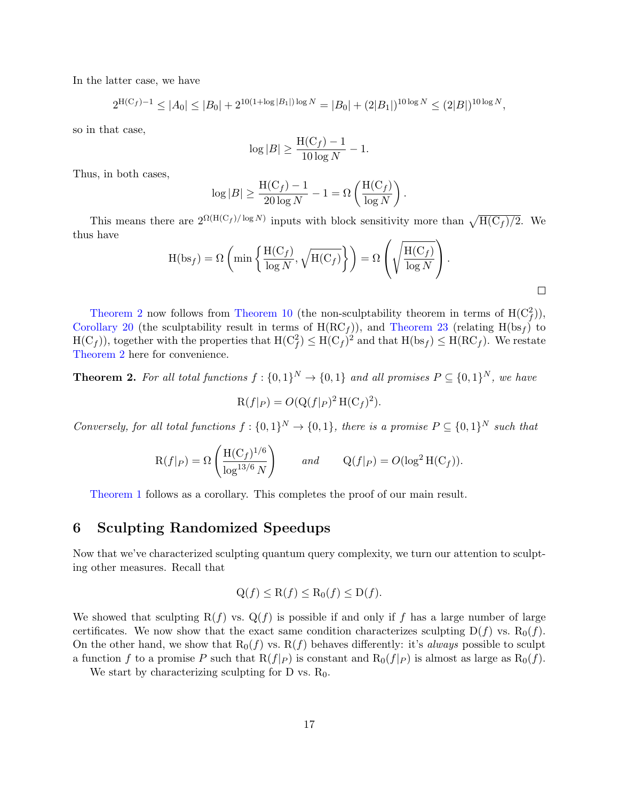In the latter case, we have

$$
2^{\mathcal{H}(C_f)-1} \le |A_0| \le |B_0| + 2^{10(1+\log|B_1|)\log N} = |B_0| + (2|B_1|)^{10\log N} \le (2|B|)^{10\log N},
$$

so in that case,

$$
\log |B| \ge \frac{\text{H}(C_f) - 1}{10 \log N} - 1.
$$

Thus, in both cases,

$$
\log |B| \ge \frac{\text{H}(\text{C}_f) - 1}{20 \log N} - 1 = \Omega \left( \frac{\text{H}(\text{C}_f)}{\log N} \right).
$$

This means there are  $2^{\Omega(H(C_f)/\log N)}$  inputs with block sensitivity more than  $\sqrt{H(C_f)/2}$ . We thus have

$$
H(bsf) = \Omega \left( \min \left\{ \frac{H(C_f)}{\log N}, \sqrt{H(C_f)} \right\} \right) = \Omega \left( \sqrt{\frac{H(C_f)}{\log N}} \right).
$$

 $\Box$ 

[Theorem 2](#page-2-0) now follows from [Theorem 10](#page-6-2) (the non-sculptability theorem in terms of  $H(C_f^2)$ ), [Corollary 20](#page-14-2) (the sculptability result in terms of  $H(RC_f)$ ), and [Theorem 23](#page-16-0) (relating  $H(bsf)$  to  $H(C_f)$ ), together with the properties that  $H(C_f^2) \leq H(C_f)^2$  and that  $H(bs_f) \leq H(RC_f)$ . We restate [Theorem 2](#page-2-0) here for convenience.

**Theorem 2.** For all total functions  $f: \{0,1\}^N \to \{0,1\}$  and all promises  $P \subseteq \{0,1\}^N$ , we have

$$
\mathcal{R}(f|_P) = O(\mathcal{Q}(f|_P)^2 \mathcal{H}(\mathcal{C}_f)^2).
$$

Conversely, for all total functions  $f: \{0,1\}^N \to \{0,1\}$ , there is a promise  $P \subseteq \{0,1\}^N$  such that

$$
R(f|P) = \Omega\left(\frac{H(C_f)^{1/6}}{\log^{13/6} N}\right) \quad \text{and} \quad Q(f|P) = O(\log^2 H(C_f)).
$$

[Theorem 1](#page-2-2) follows as a corollary. This completes the proof of our main result.

## 6 Sculpting Randomized Speedups

Now that we've characterized sculpting quantum query complexity, we turn our attention to sculpting other measures. Recall that

$$
Q(f) \le R(f) \le R_0(f) \le D(f).
$$

We showed that sculpting  $R(f)$  vs.  $Q(f)$  is possible if and only if f has a large number of large certificates. We now show that the exact same condition characterizes sculpting  $D(f)$  vs.  $R_0(f)$ . On the other hand, we show that  $R_0(f)$  vs.  $R(f)$  behaves differently: it's *always* possible to sculpt a function f to a promise P such that  $R(f|_P)$  is constant and  $R_0(f|_P)$  is almost as large as  $R_0(f)$ .

We start by characterizing sculpting for D vs.  $R_0$ .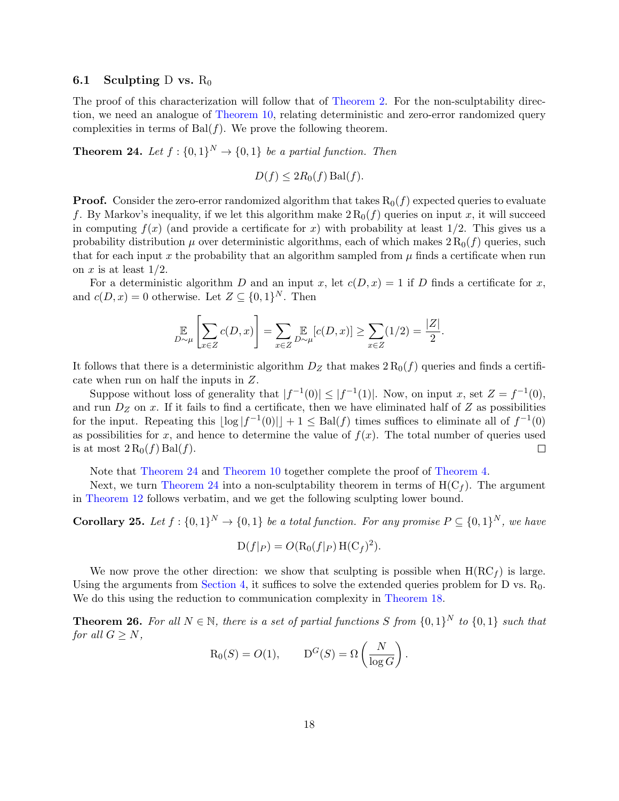#### 6.1 Sculpting D vs.  $R_0$

The proof of this characterization will follow that of [Theorem 2.](#page-2-0) For the non-sculptability direction, we need an analogue of [Theorem 10,](#page-6-2) relating deterministic and zero-error randomized query complexities in terms of  $Bal(f)$ . We prove the following theorem.

<span id="page-18-1"></span>**Theorem 24.** Let  $f: \{0,1\}^N \to \{0,1\}$  be a partial function. Then

$$
D(f) \le 2R_0(f) \operatorname{Bal}(f).
$$

**Proof.** Consider the zero-error randomized algorithm that takes  $R_0(f)$  expected queries to evaluate f. By Markov's inequality, if we let this algorithm make  $2 R_0(f)$  queries on input x, it will succeed in computing  $f(x)$  (and provide a certificate for x) with probability at least 1/2. This gives us a probability distribution  $\mu$  over deterministic algorithms, each of which makes  $2R_0(f)$  queries, such that for each input x the probability that an algorithm sampled from  $\mu$  finds a certificate when run on x is at least  $1/2$ .

For a deterministic algorithm D and an input x, let  $c(D, x) = 1$  if D finds a certificate for x, and  $c(D, x) = 0$  otherwise. Let  $Z \subseteq \{0, 1\}^N$ . Then

$$
\mathop{\mathbb{E}}_{D \sim \mu} \left[ \sum_{x \in Z} c(D, x) \right] = \sum_{x \in Z} \mathop{\mathbb{E}}_{D \sim \mu} [c(D, x)] \ge \sum_{x \in Z} (1/2) = \frac{|Z|}{2}.
$$

It follows that there is a deterministic algorithm  $D_Z$  that makes  $2 R_0(f)$  queries and finds a certificate when run on half the inputs in Z.

Suppose without loss of generality that  $|f^{-1}(0)| \leq |f^{-1}(1)|$ . Now, on input x, set  $Z = f^{-1}(0)$ , and run  $D<sub>Z</sub>$  on x. If it fails to find a certificate, then we have eliminated half of Z as possibilities for the input. Repeating this  $|\log |f^{-1}(0)| + 1 \leq \text{Bal}(f)$  times suffices to eliminate all of  $f^{-1}(0)$ as possibilities for x, and hence to determine the value of  $f(x)$ . The total number of queries used is at most  $2 R_0(f) \text{Bal}(f)$ .  $\Box$ 

Note that [Theorem 24](#page-18-1) and [Theorem 10](#page-6-2) together complete the proof of [Theorem 4.](#page-3-1)

Next, we turn [Theorem 24](#page-18-1) into a non-sculptability theorem in terms of  $H(C_f)$ . The argument in [Theorem 12](#page-8-1) follows verbatim, and we get the following sculpting lower bound.

<span id="page-18-2"></span>**Corollary 25.** Let  $f: \{0,1\}^N \to \{0,1\}$  be a total function. For any promise  $P \subseteq \{0,1\}^N$ , we have

$$
D(f|_P) = O(R_0(f|_P) H(C_f)^2).
$$

We now prove the other direction: we show that sculpting is possible when  $H(RC<sub>f</sub>)$  is large. Using the arguments from [Section 4,](#page-9-0) it suffices to solve the extended queries problem for D vs.  $R_0$ . We do this using the reduction to communication complexity in [Theorem 18.](#page-11-0)

<span id="page-18-0"></span>**Theorem 26.** For all  $N \in \mathbb{N}$ , there is a set of partial functions S from  $\{0,1\}^N$  to  $\{0,1\}$  such that for all  $G \geq N$ ,

$$
R_0(S) = O(1), \qquad D^G(S) = \Omega\left(\frac{N}{\log G}\right).
$$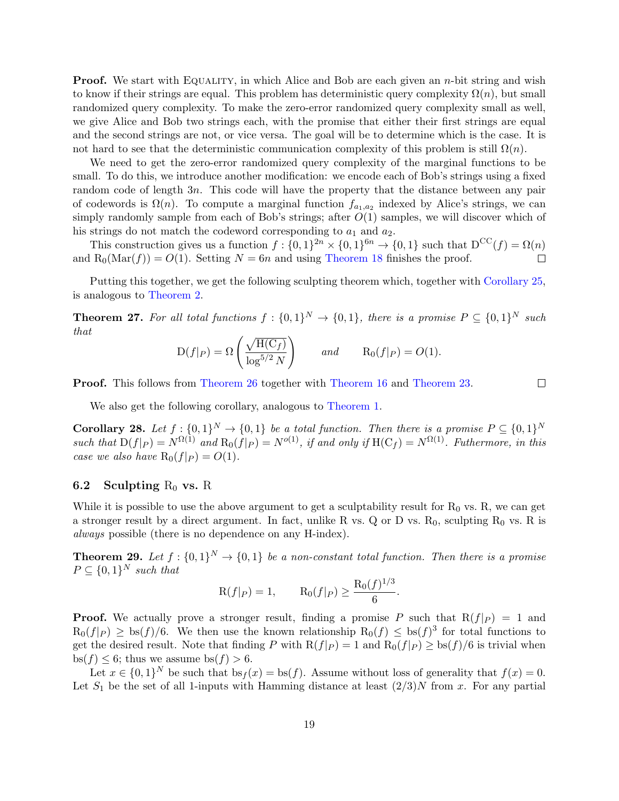**Proof.** We start with EQUALITY, in which Alice and Bob are each given an *n*-bit string and wish to know if their strings are equal. This problem has deterministic query complexity  $\Omega(n)$ , but small randomized query complexity. To make the zero-error randomized query complexity small as well, we give Alice and Bob two strings each, with the promise that either their first strings are equal and the second strings are not, or vice versa. The goal will be to determine which is the case. It is not hard to see that the deterministic communication complexity of this problem is still  $\Omega(n)$ .

We need to get the zero-error randomized query complexity of the marginal functions to be small. To do this, we introduce another modification: we encode each of Bob's strings using a fixed random code of length 3n. This code will have the property that the distance between any pair of codewords is  $\Omega(n)$ . To compute a marginal function  $f_{a_1,a_2}$  indexed by Alice's strings, we can simply randomly sample from each of Bob's strings; after  $O(1)$  samples, we will discover which of his strings do not match the codeword corresponding to  $a_1$  and  $a_2$ .

This construction gives us a function  $f: \{0,1\}^{2n} \times \{0,1\}^{6n} \to \{0,1\}$  such that  $D^{CC}(f) = \Omega(n)$ and  $R_0(Mar(f)) = O(1)$ . Setting  $N = 6n$  and using [Theorem 18](#page-11-0) finishes the proof.  $\Box$ 

Putting this together, we get the following sculpting theorem which, together with [Corollary 25,](#page-18-2) is analogous to [Theorem 2.](#page-2-0)

**Theorem 27.** For all total functions  $f: \{0,1\}^N \to \{0,1\}$ , there is a promise  $P \subseteq \{0,1\}^N$  such that

$$
D(f|_P) = \Omega\left(\frac{\sqrt{H(C_f)}}{\log^{5/2} N}\right) \qquad \text{and} \qquad R_0(f|_P) = O(1).
$$

Proof. This follows from [Theorem 26](#page-18-0) together with [Theorem 16](#page-10-0) and [Theorem 23.](#page-16-0)

 $\Box$ 

We also get the following corollary, analogous to [Theorem 1.](#page-2-2)

**Corollary 28.** Let  $f: \{0,1\}^N \to \{0,1\}$  be a total function. Then there is a promise  $P \subseteq \{0,1\}^N$ such that  $D(f|_P) = N^{\Omega(1)}$  and  $R_0(f|_P) = N^{o(1)}$ , if and only if  $H(C_f) = N^{\Omega(1)}$ . Futhermore, in this case we also have  $R_0(f|_P) = O(1)$ .

#### 6.2 Sculpting  $R_0$  vs. R

While it is possible to use the above argument to get a sculptability result for  $R_0$  vs. R, we can get a stronger result by a direct argument. In fact, unlike R vs. Q or D vs.  $R_0$ , sculpting  $R_0$  vs. R is always possible (there is no dependence on any H-index).

**Theorem 29.** Let  $f : \{0,1\}^N \to \{0,1\}$  be a non-constant total function. Then there is a promise  $P \subseteq \{0,1\}^N$  such that

$$
R(f|_{P}) = 1, \qquad R_0(f|_{P}) \ge \frac{R_0(f)^{1/3}}{6}.
$$

**Proof.** We actually prove a stronger result, finding a promise P such that  $R(f|_P) = 1$  and  $R_0(f|_P) \geq \frac{b}{f}$  (f) is to the sum set the known relationship  $R_0(f) \leq \frac{b}{f}$  for total functions to get the desired result. Note that finding P with  $R(f|_P) = 1$  and  $R_0(f|_P) \ge \frac{bs(f)}{6}$  is trivial when bs( $f$ ) < 6; thus we assume bs( $f$ ) > 6.

Let  $x \in \{0,1\}^N$  be such that  $bs_f(x) = bs(f)$ . Assume without loss of generality that  $f(x) = 0$ . Let  $S_1$  be the set of all 1-inputs with Hamming distance at least  $(2/3)N$  from x. For any partial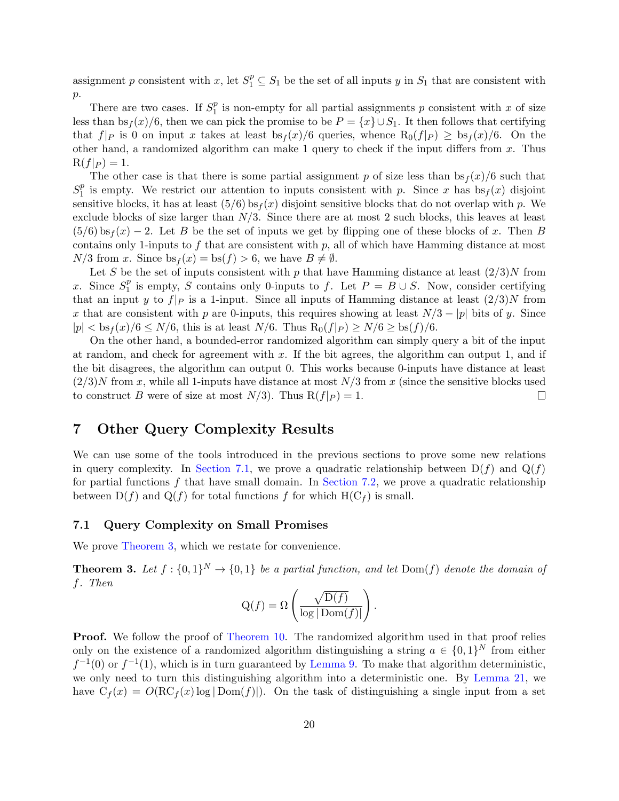assignment p consistent with x, let  $S_1^p \subseteq S_1$  be the set of all inputs y in  $S_1$  that are consistent with  $p$ .

There are two cases. If  $S_1^p$  $_1^p$  is non-empty for all partial assignments p consistent with x of size less than  $bs_f(x)/6$ , then we can pick the promise to be  $P = \{x\} \cup S_1$ . It then follows that certifying that  $f|_P$  is 0 on input x takes at least  $bs_f(x)/6$  queries, whence  $R_0(f|_P) \geq bs_f(x)/6$ . On the other hand, a randomized algorithm can make 1 query to check if the input differs from  $x$ . Thus  $R(f|_P) = 1.$ 

The other case is that there is some partial assignment p of size less than  $bs_f(x)/6$  such that  $S_1^p$  $_1^p$  is empty. We restrict our attention to inputs consistent with p. Since x has  $bs_f(x)$  disjoint sensitive blocks, it has at least  $(5/6)$  bs<sub>f</sub> $(x)$  disjoint sensitive blocks that do not overlap with p. We exclude blocks of size larger than  $N/3$ . Since there are at most 2 such blocks, this leaves at least  $(5/6)$  bs<sub>f</sub> $(x)$  − 2. Let B be the set of inputs we get by flipping one of these blocks of x. Then B contains only 1-inputs to f that are consistent with  $p$ , all of which have Hamming distance at most  $N/3$  from x. Since  $bs_f(x) = bs(f) > 6$ , we have  $B \neq \emptyset$ .

Let S be the set of inputs consistent with p that have Hamming distance at least  $(2/3)N$  from x. Since  $S_1^p$  $_1^p$  is empty, S contains only 0-inputs to f. Let  $P = B \cup S$ . Now, consider certifying that an input y to  $f|_P$  is a 1-input. Since all inputs of Hamming distance at least  $(2/3)N$  from x that are consistent with p are 0-inputs, this requires showing at least  $N/3 - |p|$  bits of y. Since  $|p| < \frac{bs_f(x)}{6} \leq N/6$ , this is at least  $N/6$ . Thus  $R_0(f|_P) \geq N/6 \geq \frac{bs(f)}{6}$ .

On the other hand, a bounded-error randomized algorithm can simply query a bit of the input at random, and check for agreement with  $x$ . If the bit agrees, the algorithm can output 1, and if the bit disagrees, the algorithm can output 0. This works because 0-inputs have distance at least  $(2/3)N$  from x, while all 1-inputs have distance at most  $N/3$  from x (since the sensitive blocks used to construct B were of size at most  $N/3$ . Thus  $R(f|_P) = 1$ .  $\Box$ 

## 7 Other Query Complexity Results

We can use some of the tools introduced in the previous sections to prove some new relations in query complexity. In [Section 7.1,](#page-20-0) we prove a quadratic relationship between  $D(f)$  and  $Q(f)$ for partial functions  $f$  that have small domain. In [Section 7.2,](#page-21-0) we prove a quadratic relationship between  $D(f)$  and  $Q(f)$  for total functions f for which  $H(C_f)$  is small.

#### <span id="page-20-0"></span>7.1 Query Complexity on Small Promises

We prove [Theorem 3,](#page-2-1) which we restate for convenience.

**Theorem 3.** Let  $f: \{0,1\}^N \to \{0,1\}$  be a partial function, and let  $Dom(f)$  denote the domain of f. Then

$$
Q(f) = \Omega\left(\frac{\sqrt{D(f)}}{\log|\operatorname{Dom}(f)|}\right).
$$

Proof. We follow the proof of [Theorem 10.](#page-6-2) The randomized algorithm used in that proof relies only on the existence of a randomized algorithm distinguishing a string  $a \in \{0,1\}^N$  from either  $f^{-1}(0)$  or  $f^{-1}(1)$ , which is in turn guaranteed by [Lemma 9.](#page-6-1) To make that algorithm deterministic, we only need to turn this distinguishing algorithm into a deterministic one. By [Lemma 21,](#page-14-1) we have  $C_f(x) = O(RC_f(x) \log |Dom(f)|)$ . On the task of distinguishing a single input from a set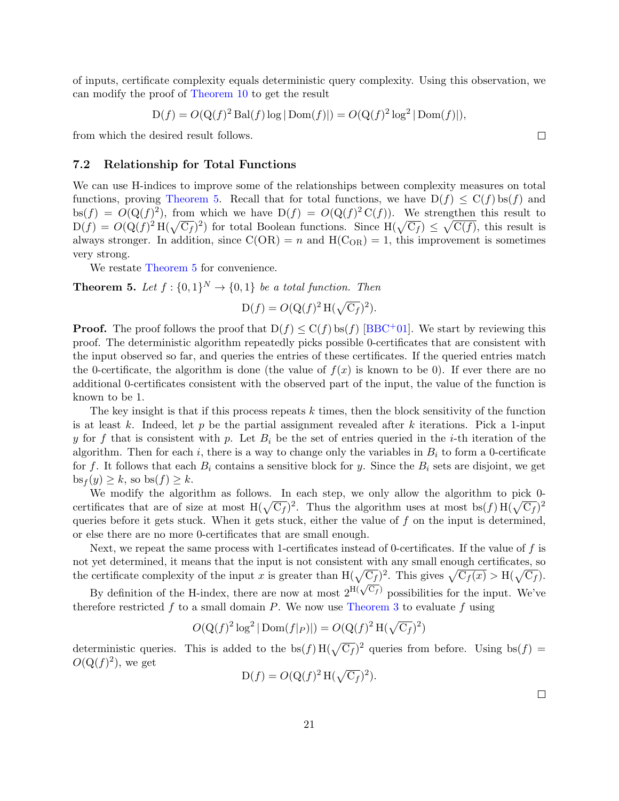<span id="page-21-1"></span>of inputs, certificate complexity equals deterministic query complexity. Using this observation, we can modify the proof of [Theorem 10](#page-6-2) to get the result

$$
D(f) = O(Q(f)^{2} \operatorname{Bal}(f) \log |\operatorname{Dom}(f)|) = O(Q(f)^{2} \log^{2} |\operatorname{Dom}(f)|),
$$

from which the desired result follows.

#### <span id="page-21-0"></span>7.2 Relationship for Total Functions

We can use H-indices to improve some of the relationships between complexity measures on total functions, proving [Theorem 5.](#page-3-0) Recall that for total functions, we have  $D(f) \leq C(f)$  bs(f) and  $bs(f) = O(Q(f)^2)$ , from which we have  $D(f) = O(Q(f)^2 C(f))$ . We strengthen this result to  $D(f) = O(Q(f)^2 H(\sqrt{C_f})^2)$  for total Boolean functions. Since  $H(\sqrt{C_f}) \leq \sqrt{C(f)}$ , this result is always stronger. In addition, since  $C(OR) = n$  and  $H(C_{OR}) = 1$ , this improvement is sometimes very strong.

We restate [Theorem 5](#page-3-0) for convenience.

**Theorem 5.** Let  $f : \{0,1\}^N \to \{0,1\}$  be a total function. Then

$$
D(f) = O(Q(f)^{2} H(\sqrt{C_f})^{2}).
$$

**Proof.** The proof follows the proof that  $D(f) \leq C(f)$  bs(f) [\[BBC](#page-27-11)<sup>+</sup>01]. We start by reviewing this proof. The deterministic algorithm repeatedly picks possible 0-certificates that are consistent with the input observed so far, and queries the entries of these certificates. If the queried entries match the 0-certificate, the algorithm is done (the value of  $f(x)$  is known to be 0). If ever there are no additional 0-certificates consistent with the observed part of the input, the value of the function is known to be 1.

The key insight is that if this process repeats  $k$  times, then the block sensitivity of the function is at least k. Indeed, let p be the partial assignment revealed after k iterations. Pick a 1-input y for f that is consistent with p. Let  $B_i$  be the set of entries queried in the *i*-th iteration of the algorithm. Then for each i, there is a way to change only the variables in  $B_i$  to form a 0-certificate for f. It follows that each  $B_i$  contains a sensitive block for y. Since the  $B_i$  sets are disjoint, we get  $bs_f(y) \geq k$ , so  $bs(f) \geq k$ .

We modify the algorithm as follows. In each step, we only allow the algorithm to pick 0certificates that are of size at most  $H(\sqrt{C_f})^2$ . Thus the algorithm uses at most bs $(f) H(\sqrt{C_f})^2$ queries before it gets stuck. When it gets stuck, either the value of  $f$  on the input is determined, or else there are no more 0-certificates that are small enough.

Next, we repeat the same process with 1-certificates instead of 0-certificates. If the value of  $f$  is not yet determined, it means that the input is not consistent with any small enough certificates, so the certificate complexity of the input x is greater than  $H(\sqrt{C_f})^2$ . This gives  $\sqrt{C_f(x)} > H(\sqrt{C_f})$ .

By definition of the H-index, there are now at most  $2^{H(\sqrt{C_f})}$  possibilities for the input. We've therefore restricted f to a small domain  $P$ . We now use [Theorem 3](#page-2-1) to evaluate f using

$$
O(Q(f)^{2}\log^{2}|\operatorname{Dom}(f|_{P})|) = O(Q(f)^{2}\operatorname{H}(\sqrt{C_{f}})^{2})
$$

deterministic queries. This is added to the  $bs(f) H(\sqrt{C_f})^2$  queries from before. Using  $bs(f)$  =  $O(Q(f)^2)$ , we get

$$
D(f) = O(Q(f)^{2} H(\sqrt{C_f})^{2}).
$$

 $\Box$ 

 $\Box$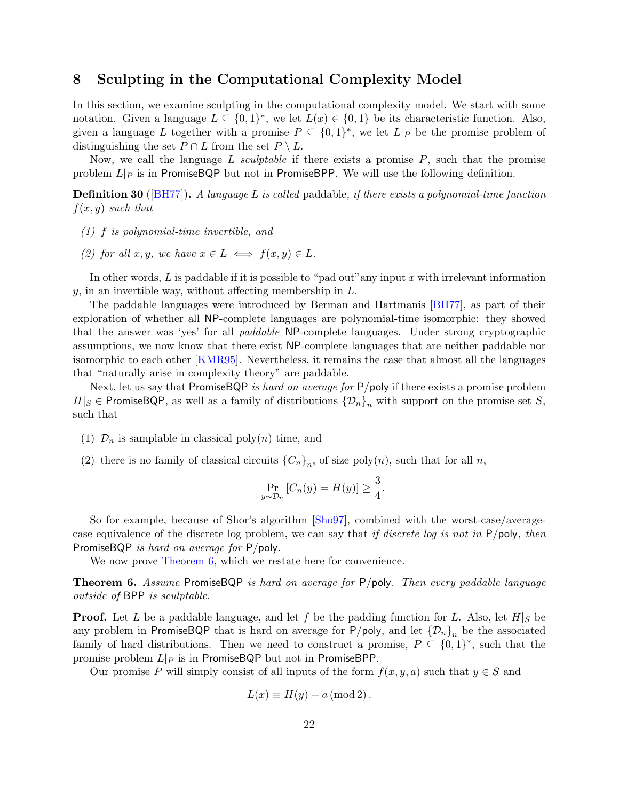## <span id="page-22-1"></span><span id="page-22-0"></span>8 Sculpting in the Computational Complexity Model

In this section, we examine sculpting in the computational complexity model. We start with some notation. Given a language  $L \subseteq \{0,1\}^*$ , we let  $L(x) \in \{0,1\}$  be its characteristic function. Also, given a language L together with a promise  $P \subseteq \{0,1\}^*$ , we let  $L|_P$  be the promise problem of distinguishing the set  $P \cap L$  from the set  $P \setminus L$ .

Now, we call the language L sculptable if there exists a promise  $P$ , such that the promise problem  $L|_P$  is in PromiseBQP but not in PromiseBPP. We will use the following definition.

**Definition 30** ([\[BH77\]](#page-27-12)). A language L is called paddable, if there exists a polynomial-time function  $f(x, y)$  such that

- (1) f is polynomial-time invertible, and
- (2) for all x, y, we have  $x \in L \iff f(x, y) \in L$ .

In other words,  $L$  is paddable if it is possible to "pad out" any input  $x$  with irrelevant information  $y$ , in an invertible way, without affecting membership in  $L$ .

The paddable languages were introduced by Berman and Hartmanis [\[BH77\]](#page-27-12), as part of their exploration of whether all NP-complete languages are polynomial-time isomorphic: they showed that the answer was 'yes' for all paddable NP-complete languages. Under strong cryptographic assumptions, we now know that there exist NP-complete languages that are neither paddable nor isomorphic to each other [\[KMR95\]](#page-27-13). Nevertheless, it remains the case that almost all the languages that "naturally arise in complexity theory" are paddable.

Next, let us say that PromiseBQP is hard on average for  $P$ /poly if there exists a promise problem  $H|S \in \mathsf{PromiseBQP}$ , as well as a family of distributions  $\{\mathcal{D}_n\}_n$  with support on the promise set S, such that

- (1)  $\mathcal{D}_n$  is samplable in classical poly $(n)$  time, and
- (2) there is no family of classical circuits  ${C_n}_n$ , of size poly $(n)$ , such that for all n,

$$
\Pr_{y \sim \mathcal{D}_n} [C_n(y) = H(y)] \ge \frac{3}{4}.
$$

So for example, because of Shor's algorithm [\[Sho97\]](#page-28-0), combined with the worst-case/averagecase equivalence of the discrete log problem, we can say that if discrete log is not in P/poly, then PromiseBQP *is hard on average for* P/poly.

We now prove [Theorem 6,](#page-3-2) which we restate here for convenience.

Theorem 6. Assume PromiseBQP is hard on average for P/poly. Then every paddable language outside of BPP is sculptable.

**Proof.** Let L be a paddable language, and let f be the padding function for L. Also, let  $H|_S$  be any problem in PromiseBQP that is hard on average for P/poly, and let  ${\{\mathcal{D}_n\}}_n$  be the associated family of hard distributions. Then we need to construct a promise,  $P \subseteq \{0,1\}^*$ , such that the promise problem  $L|_P$  is in PromiseBQP but not in PromiseBPP.

Our promise P will simply consist of all inputs of the form  $f(x, y, a)$  such that  $y \in S$  and

$$
L(x) \equiv H(y) + a \pmod{2}.
$$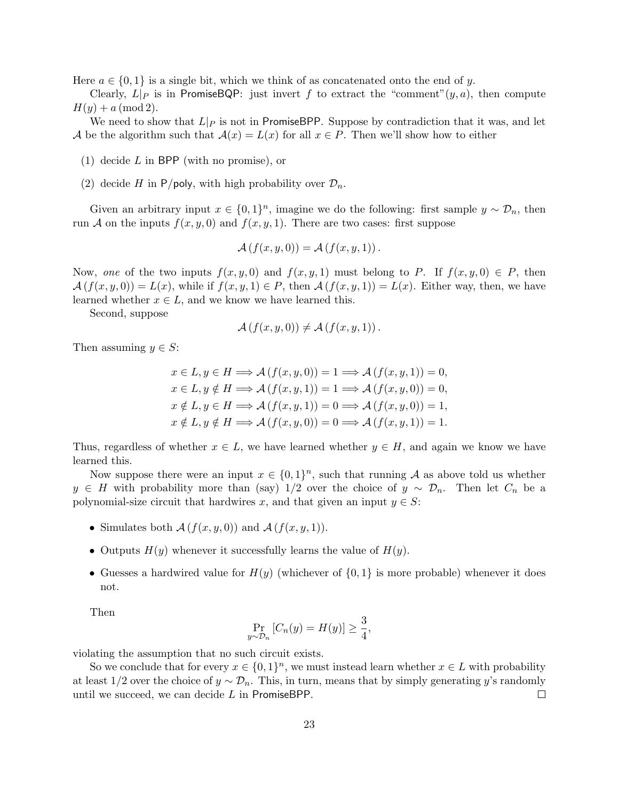Here  $a \in \{0,1\}$  is a single bit, which we think of as concatenated onto the end of y.

Clearly,  $L|_P$  is in PromiseBQP: just invert f to extract the "comment" $(y, a)$ , then compute  $H(y) + a \, (mod 2).$ 

We need to show that  $L|_P$  is not in PromiseBPP. Suppose by contradiction that it was, and let A be the algorithm such that  $\mathcal{A}(x) = L(x)$  for all  $x \in P$ . Then we'll show how to either

- (1) decide L in BPP (with no promise), or
- (2) decide H in P/poly, with high probability over  $\mathcal{D}_n$ .

Given an arbitrary input  $x \in \{0,1\}^n$ , imagine we do the following: first sample  $y \sim \mathcal{D}_n$ , then run A on the inputs  $f(x, y, 0)$  and  $f(x, y, 1)$ . There are two cases: first suppose

$$
\mathcal{A}(f(x,y,0)) = \mathcal{A}(f(x,y,1))
$$

Now, one of the two inputs  $f(x, y, 0)$  and  $f(x, y, 1)$  must belong to P. If  $f(x, y, 0) \in P$ , then  $\mathcal{A}(f(x,y,0)) = L(x)$ , while if  $f(x,y,1) \in P$ , then  $\mathcal{A}(f(x,y,1)) = L(x)$ . Either way, then, we have learned whether  $x \in L$ , and we know we have learned this.

Second, suppose

$$
\mathcal{A}(f(x,y,0)) \neq \mathcal{A}(f(x,y,1)).
$$

Then assuming  $y \in S$ :

$$
x \in L, y \in H \Longrightarrow \mathcal{A}(f(x, y, 0)) = 1 \Longrightarrow \mathcal{A}(f(x, y, 1)) = 0,
$$
  
\n
$$
x \in L, y \notin H \Longrightarrow \mathcal{A}(f(x, y, 1)) = 1 \Longrightarrow \mathcal{A}(f(x, y, 0)) = 0,
$$
  
\n
$$
x \notin L, y \in H \Longrightarrow \mathcal{A}(f(x, y, 1)) = 0 \Longrightarrow \mathcal{A}(f(x, y, 0)) = 1,
$$
  
\n
$$
x \notin L, y \notin H \Longrightarrow \mathcal{A}(f(x, y, 0)) = 0 \Longrightarrow \mathcal{A}(f(x, y, 1)) = 1.
$$

Thus, regardless of whether  $x \in L$ , we have learned whether  $y \in H$ , and again we know we have learned this.

Now suppose there were an input  $x \in \{0,1\}^n$ , such that running A as above told us whether  $y \in H$  with probability more than (say) 1/2 over the choice of  $y \sim \mathcal{D}_n$ . Then let  $C_n$  be a polynomial-size circuit that hardwires x, and that given an input  $y \in S$ :

- Simulates both  $\mathcal{A}(f(x, y, 0))$  and  $\mathcal{A}(f(x, y, 1))$ .
- Outputs  $H(y)$  whenever it successfully learns the value of  $H(y)$ .
- Guesses a hardwired value for  $H(y)$  (whichever of  $\{0,1\}$  is more probable) whenever it does not.

Then

$$
\Pr_{y \sim \mathcal{D}_n} [C_n(y) = H(y)] \ge \frac{3}{4},
$$

violating the assumption that no such circuit exists.

So we conclude that for every  $x \in \{0,1\}^n$ , we must instead learn whether  $x \in L$  with probability at least 1/2 over the choice of  $y \sim \mathcal{D}_n$ . This, in turn, means that by simply generating y's randomly until we succeed, we can decide L in PromiseBPP.  $\Box$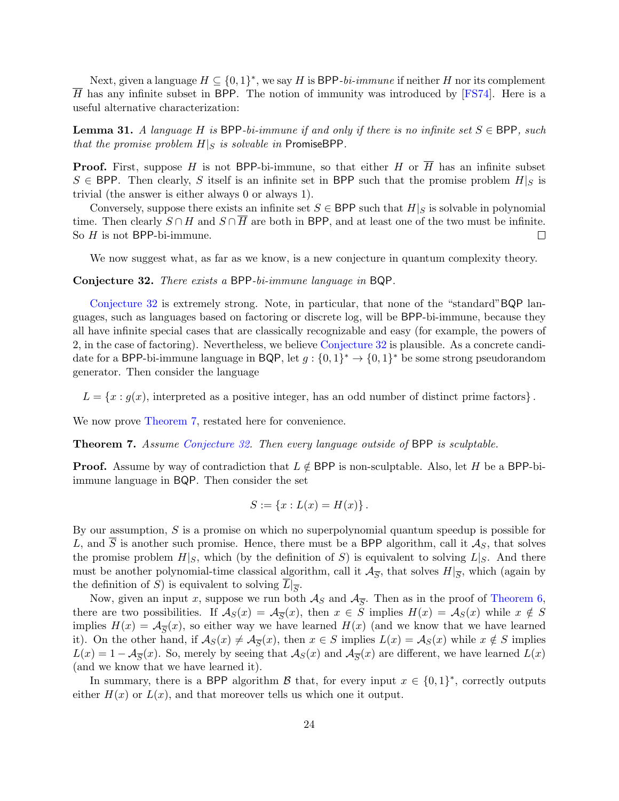<span id="page-24-1"></span>Next, given a language  $H \subseteq \{0,1\}^*$ , we say H is BPP-bi-immune if neither H nor its complement H has any infinite subset in BPP. The notion of immunity was introduced by [\[FS74\]](#page-27-14). Here is a useful alternative characterization:

**Lemma 31.** A language H is BPP-bi-immune if and only if there is no infinite set  $S \in BPP$ , such that the promise problem  $H|_S$  is solvable in PromiseBPP.

**Proof.** First, suppose H is not BPP-bi-immune, so that either H or  $\overline{H}$  has an infinite subset  $S \in BPP$ . Then clearly, S itself is an infinite set in BPP such that the promise problem  $H|_S$  is trivial (the answer is either always 0 or always 1).

Conversely, suppose there exists an infinite set  $S \in BPP$  such that  $H|_S$  is solvable in polynomial time. Then clearly  $S \cap H$  and  $S \cap \overline{H}$  are both in BPP, and at least one of the two must be infinite. So  $H$  is not BPP-bi-immune.  $\Box$ 

We now suggest what, as far as we know, is a new conjecture in quantum complexity theory.

<span id="page-24-0"></span>Conjecture 32. There exists a BPP-bi-immune language in BQP.

[Conjecture 32](#page-24-0) is extremely strong. Note, in particular, that none of the "standard"BQP languages, such as languages based on factoring or discrete log, will be BPP-bi-immune, because they all have infinite special cases that are classically recognizable and easy (for example, the powers of 2, in the case of factoring). Nevertheless, we believe [Conjecture 32](#page-24-0) is plausible. As a concrete candidate for a BPP-bi-immune language in BQP, let  $g: \{0,1\}^* \to \{0,1\}^*$  be some strong pseudorandom generator. Then consider the language

 $L = \{x : g(x)$ , interpreted as a positive integer, has an odd number of distinct prime factors  $\}$ .

We now prove [Theorem 7,](#page-3-3) restated here for convenience.

Theorem 7. Assume [Conjecture 32.](#page-24-0) Then every language outside of BPP is sculptable.

**Proof.** Assume by way of contradiction that  $L \notin BPP$  is non-sculptable. Also, let H be a BPP-biimmune language in BQP. Then consider the set

$$
S := \{x : L(x) = H(x)\}.
$$

By our assumption,  $S$  is a promise on which no superpolynomial quantum speedup is possible for L, and  $\overline{S}$  is another such promise. Hence, there must be a BPP algorithm, call it  $\mathcal{A}_S$ , that solves the promise problem  $H|_S$ , which (by the definition of S) is equivalent to solving  $L|_S$ . And there must be another polynomial-time classical algorithm, call it  $\mathcal{A}_{\overline{S}}$ , that solves  $H|_{\overline{S}}$ , which (again by the definition of S) is equivalent to solving  $L|_{\overline{S}}$ .

Now, given an input x, suppose we run both  $\mathcal{A}_S$  and  $\mathcal{A}_{\overline{S}}$ . Then as in the proof of [Theorem 6,](#page-3-2) there are two possibilities. If  $\mathcal{A}_S(x) = \mathcal{A}_{\overline{S}}(x)$ , then  $x \in S$  implies  $H(x) = \mathcal{A}_S(x)$  while  $x \notin S$ implies  $H(x) = \mathcal{A}_{\overline{S}}(x)$ , so either way we have learned  $H(x)$  (and we know that we have learned it). On the other hand, if  $A_S(x) \neq A_{\overline{S}}(x)$ , then  $x \in S$  implies  $L(x) = A_S(x)$  while  $x \notin S$  implies  $L(x) = 1 - \mathcal{A}_{\overline{S}}(x)$ . So, merely by seeing that  $\mathcal{A}_{S}(x)$  and  $\mathcal{A}_{\overline{S}}(x)$  are different, we have learned  $L(x)$ (and we know that we have learned it).

In summary, there is a BPP algorithm  $\beta$  that, for every input  $x \in \{0,1\}^*$ , correctly outputs either  $H(x)$  or  $L(x)$ , and that moreover tells us which one it output.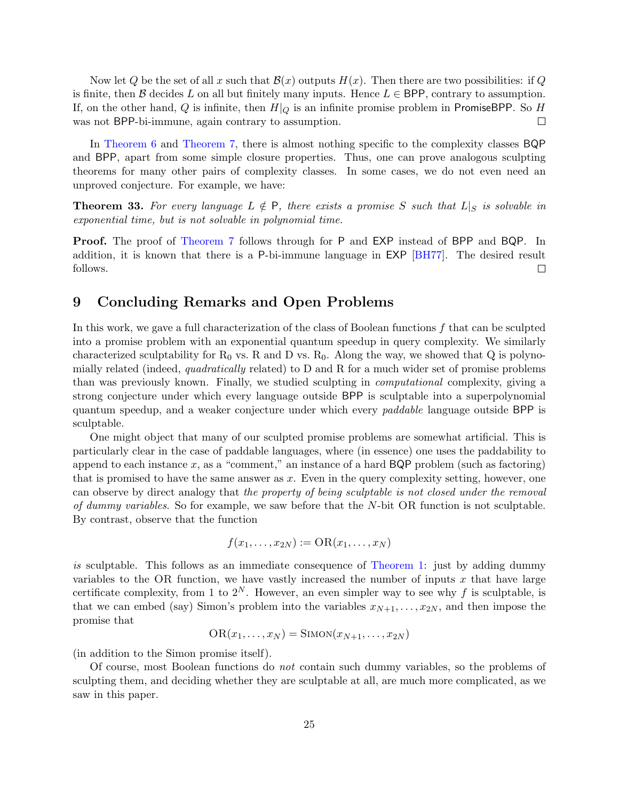<span id="page-25-0"></span>Now let Q be the set of all x such that  $\mathcal{B}(x)$  outputs  $H(x)$ . Then there are two possibilities: if Q is finite, then B decides L on all but finitely many inputs. Hence  $L \in BPP$ , contrary to assumption. If, on the other hand, Q is infinite, then  $H|_Q$  is an infinite promise problem in PromiseBPP. So H was not BPP-bi-immune, again contrary to assumption.  $\Box$ 

In [Theorem 6](#page-3-2) and [Theorem 7,](#page-3-3) there is almost nothing specific to the complexity classes BQP and BPP, apart from some simple closure properties. Thus, one can prove analogous sculpting theorems for many other pairs of complexity classes. In some cases, we do not even need an unproved conjecture. For example, we have:

**Theorem 33.** For every language  $L \notin P$ , there exists a promise S such that  $L|_S$  is solvable in exponential time, but is not solvable in polynomial time.

Proof. The proof of [Theorem 7](#page-3-3) follows through for P and EXP instead of BPP and BQP. In addition, it is known that there is a P-bi-immune language in EXP [\[BH77\]](#page-27-12). The desired result follows.  $\Box$ 

## 9 Concluding Remarks and Open Problems

In this work, we gave a full characterization of the class of Boolean functions  $f$  that can be sculpted into a promise problem with an exponential quantum speedup in query complexity. We similarly characterized sculptability for  $R_0$  vs. R and D vs.  $R_0$ . Along the way, we showed that Q is polynomially related (indeed, quadratically related) to  $D$  and  $R$  for a much wider set of promise problems than was previously known. Finally, we studied sculpting in computational complexity, giving a strong conjecture under which every language outside BPP is sculptable into a superpolynomial quantum speedup, and a weaker conjecture under which every *paddable* language outside BPP is sculptable.

One might object that many of our sculpted promise problems are somewhat artificial. This is particularly clear in the case of paddable languages, where (in essence) one uses the paddability to append to each instance  $x$ , as a "comment," an instance of a hard  $BQP$  problem (such as factoring) that is promised to have the same answer as  $x$ . Even in the query complexity setting, however, one can observe by direct analogy that the property of being sculptable is not closed under the removal of dummy variables. So for example, we saw before that the N-bit OR function is not sculptable. By contrast, observe that the function

$$
f(x_1,\ldots,x_{2N}):= \mathrm{OR}(x_1,\ldots,x_N)
$$

is sculptable. This follows as an immediate consequence of [Theorem 1:](#page-2-2) just by adding dummy variables to the OR function, we have vastly increased the number of inputs  $x$  that have large certificate complexity, from 1 to  $2^N$ . However, an even simpler way to see why f is sculptable, is that we can embed (say) Simon's problem into the variables  $x_{N+1}, \ldots, x_{2N}$ , and then impose the promise that

$$
OR(x_1,...,x_N) = SIMON(x_{N+1},...,x_{2N})
$$

(in addition to the Simon promise itself).

Of course, most Boolean functions do not contain such dummy variables, so the problems of sculpting them, and deciding whether they are sculptable at all, are much more complicated, as we saw in this paper.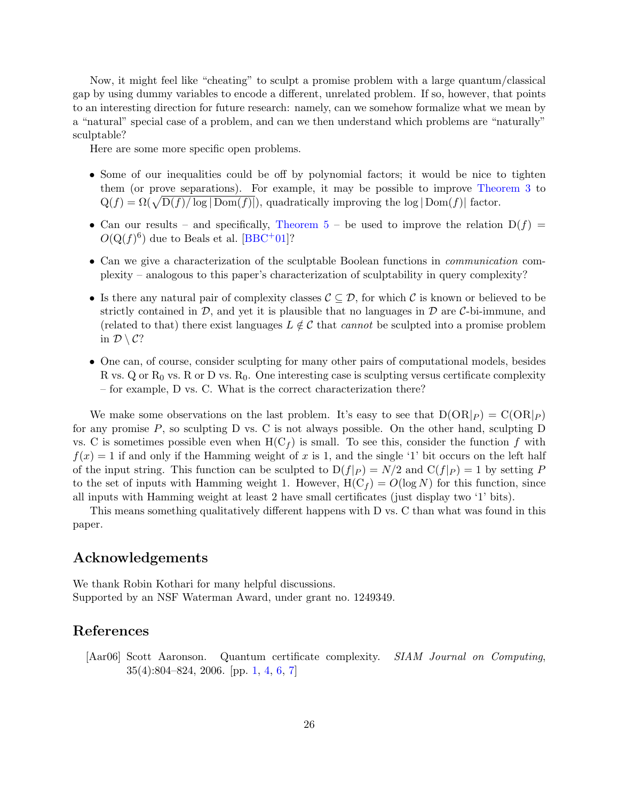<span id="page-26-1"></span>Now, it might feel like "cheating" to sculpt a promise problem with a large quantum/classical gap by using dummy variables to encode a different, unrelated problem. If so, however, that points to an interesting direction for future research: namely, can we somehow formalize what we mean by a "natural" special case of a problem, and can we then understand which problems are "naturally" sculptable?

Here are some more specific open problems.

- Some of our inequalities could be off by polynomial factors; it would be nice to tighten them (or prove separations). For example, it may be possible to improve [Theorem 3](#page-2-1) to  $Q(f) = \Omega(\sqrt{D(f)/\log |{\rm Dom}(f)|}),$  quadratically improving the log  $|{\rm Dom}(f)|$  factor.
- Can our results and specifically, [Theorem 5](#page-3-0) be used to improve the relation  $D(f)$  =  $O(Q(f)^6)$  due to Beals et al. [\[BBC](#page-27-11)+01]?
- Can we give a characterization of the sculptable Boolean functions in communication complexity – analogous to this paper's characterization of sculptability in query complexity?
- Is there any natural pair of complexity classes  $\mathcal{C} \subseteq \mathcal{D}$ , for which C is known or believed to be strictly contained in  $\mathcal{D}$ , and yet it is plausible that no languages in  $\mathcal{D}$  are C-bi-immune, and (related to that) there exist languages  $L \notin \mathcal{C}$  that *cannot* be sculpted into a promise problem in  $\mathcal{D} \setminus \mathcal{C}$ ?
- One can, of course, consider sculpting for many other pairs of computational models, besides R vs. Q or  $R_0$  vs. R or D vs.  $R_0$ . One interesting case is sculpting versus certificate complexity – for example, D vs. C. What is the correct characterization there?

We make some observations on the last problem. It's easy to see that  $D(OR|_P) = C(OR|_P)$ for any promise  $P$ , so sculpting  $D$  vs.  $C$  is not always possible. On the other hand, sculpting  $D$ vs. C is sometimes possible even when  $H(C_f)$  is small. To see this, consider the function f with  $f(x) = 1$  if and only if the Hamming weight of x is 1, and the single '1' bit occurs on the left half of the input string. This function can be sculpted to  $D(f|_P) = N/2$  and  $C(f|_P) = 1$  by setting P to the set of inputs with Hamming weight 1. However,  $H(C_f) = O(\log N)$  for this function, since all inputs with Hamming weight at least 2 have small certificates (just display two '1' bits).

This means something qualitatively different happens with D vs. C than what was found in this paper.

## Acknowledgements

We thank Robin Kothari for many helpful discussions. Supported by an NSF Waterman Award, under grant no. 1249349.

## References

<span id="page-26-0"></span>[Aar06] Scott Aaronson. Quantum certificate complexity. SIAM Journal on Computing, 35(4):804–824, 2006. [pp. [1,](#page-1-0) [4,](#page-4-0) [6,](#page-6-3) [7\]](#page-7-0)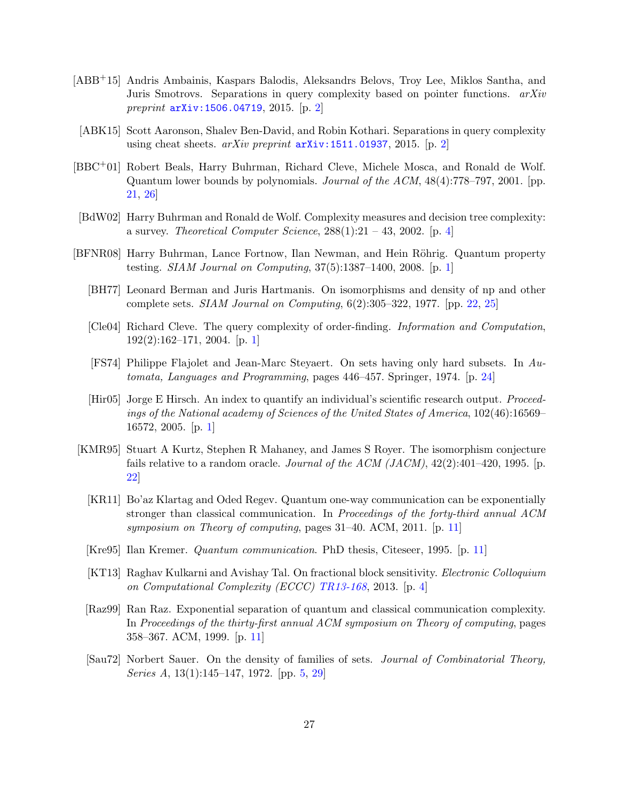- <span id="page-27-3"></span>[ABB+15] Andris Ambainis, Kaspars Balodis, Aleksandrs Belovs, Troy Lee, Miklos Santha, and Juris Smotrovs. Separations in query complexity based on pointer functions. arXiv preprint  $arXiv:1506.04719, 2015.$  $arXiv:1506.04719, 2015.$  [p. [2\]](#page-2-3)
- <span id="page-27-4"></span>[ABK15] Scott Aaronson, Shalev Ben-David, and Robin Kothari. Separations in query complexity using cheat sheets.  $arXiv$  preprint  $arXiv:1511.01937, 2015.$  $arXiv:1511.01937, 2015.$  [p. [2\]](#page-2-3)
- <span id="page-27-11"></span>[BBC+01] Robert Beals, Harry Buhrman, Richard Cleve, Michele Mosca, and Ronald de Wolf. Quantum lower bounds by polynomials. Journal of the ACM, 48(4):778–797, 2001. [pp. [21,](#page-21-1) [26\]](#page-26-1)
- <span id="page-27-5"></span>[BdW02] Harry Buhrman and Ronald de Wolf. Complexity measures and decision tree complexity: a survey. Theoretical Computer Science,  $288(1):21 - 43$ ,  $2002$ . [p. [4\]](#page-4-0)
- <span id="page-27-12"></span><span id="page-27-1"></span><span id="page-27-0"></span>[BFNR08] Harry Buhrman, Lance Fortnow, Ilan Newman, and Hein Röhrig. Quantum property testing. SIAM Journal on Computing, 37(5):1387–1400, 2008. [p. [1\]](#page-1-0)
	- [BH77] Leonard Berman and Juris Hartmanis. On isomorphisms and density of np and other complete sets. *SIAM Journal on Computing*,  $6(2):305-322$ , 1977. [pp. [22,](#page-22-1) [25\]](#page-25-0)
	- [Cle04] Richard Cleve. The query complexity of order-finding. Information and Computation, 192(2):162–171, 2004. [p. [1\]](#page-1-0)
	- [FS74] Philippe Flajolet and Jean-Marc Steyaert. On sets having only hard subsets. In Automata, Languages and Programming, pages 446–457. Springer, 1974. [p. [24\]](#page-24-1)
	- [Hir05] Jorge E Hirsch. An index to quantify an individual's scientific research output. Proceedings of the National academy of Sciences of the United States of America, 102(46):16569– 16572, 2005. [p. [1\]](#page-1-0)
- <span id="page-27-14"></span><span id="page-27-13"></span><span id="page-27-10"></span><span id="page-27-9"></span><span id="page-27-8"></span><span id="page-27-7"></span><span id="page-27-6"></span><span id="page-27-2"></span>[KMR95] Stuart A Kurtz, Stephen R Mahaney, and James S Royer. The isomorphism conjecture fails relative to a random oracle. Journal of the ACM (JACM),  $42(2):401-420$ , 1995. [p. [22\]](#page-22-1)
	- [KR11] Bo'az Klartag and Oded Regev. Quantum one-way communication can be exponentially stronger than classical communication. In Proceedings of the forty-third annual ACM symposium on Theory of computing, pages 31–40. ACM, 2011. [p. [11\]](#page-11-1)
	- [Kre95] Ilan Kremer. Quantum communication. PhD thesis, Citeseer, 1995. [p. [11\]](#page-11-1)
	- [KT13] Raghav Kulkarni and Avishay Tal. On fractional block sensitivity. Electronic Colloquium on Computational Complexity (ECCC) [TR13-168](http://eccc.hpi-web.de/report/2013/168/), 2013. [p. [4\]](#page-4-0)
	- [Raz99] Ran Raz. Exponential separation of quantum and classical communication complexity. In Proceedings of the thirty-first annual ACM symposium on Theory of computing, pages 358–367. ACM, 1999. [p. [11\]](#page-11-1)
	- [Sau72] Norbert Sauer. On the density of families of sets. Journal of Combinatorial Theory, Series A, 13(1):145–147, 1972. [pp. [5,](#page-5-1) [29\]](#page--1-1)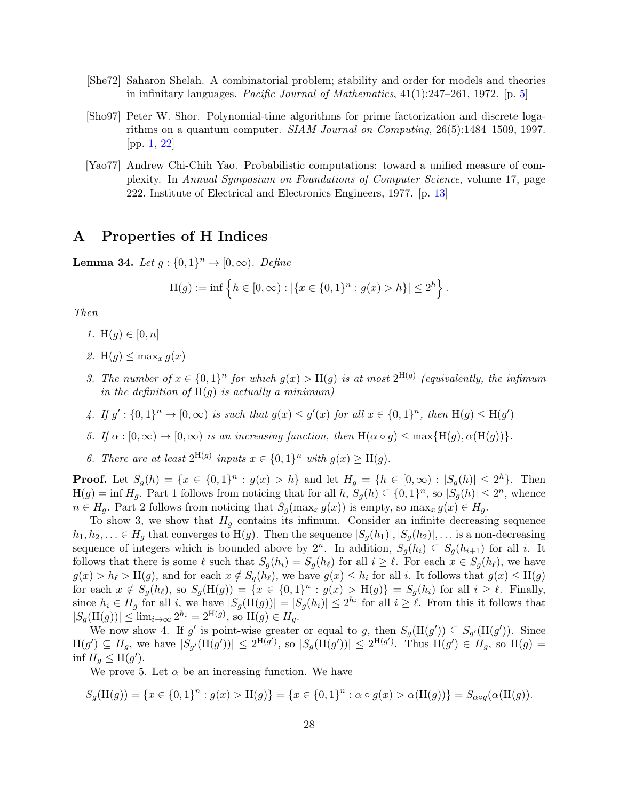- <span id="page-28-2"></span>[She72] Saharon Shelah. A combinatorial problem; stability and order for models and theories in infinitary languages. Pacific Journal of Mathematics,  $41(1):247-261$ , 1972. [p. [5\]](#page-5-1)
- <span id="page-28-0"></span>[Sho97] Peter W. Shor. Polynomial-time algorithms for prime factorization and discrete logarithms on a quantum computer. SIAM Journal on Computing, 26(5):1484–1509, 1997. [pp. [1,](#page-1-0) [22\]](#page-22-1)
- <span id="page-28-3"></span>[Yao77] Andrew Chi-Chih Yao. Probabilistic computations: toward a unified measure of complexity. In Annual Symposium on Foundations of Computer Science, volume 17, page 222. Institute of Electrical and Electronics Engineers, 1977. [p. [13\]](#page-13-0)

## <span id="page-28-1"></span>A Properties of H Indices

**Lemma 34.** Let  $g: \{0, 1\}^n \rightarrow [0, \infty)$ . Define

$$
H(g) := \inf \left\{ h \in [0, \infty) : |\{x \in \{0, 1\}^n : g(x) > h\}| \le 2^h \right\}.
$$

Then

- 1. H $(g) \in [0, n]$
- 2. H(q)  $\leq$  max<sub>x</sub>  $q(x)$
- 3. The number of  $x \in \{0,1\}^n$  for which  $g(x) > H(g)$  is at most  $2^{H(g)}$  (equivalently, the infimum in the definition of  $H(g)$  is actually a minimum)
- 4. If  $g' : \{0,1\}^n \to [0,\infty)$  is such that  $g(x) \leq g'(x)$  for all  $x \in \{0,1\}^n$ , then  $H(g) \leq H(g')$
- 5. If  $\alpha : [0, \infty) \to [0, \infty)$  is an increasing function, then  $H(\alpha \circ g) \leq \max\{H(g), \alpha(H(g))\}.$
- 6. There are at least  $2^{H(g)}$  inputs  $x \in \{0,1\}^n$  with  $g(x) \geq H(g)$ .

**Proof.** Let  $S_g(h) = \{x \in \{0,1\}^n : g(x) > h\}$  and let  $H_g = \{h \in [0,\infty) : |S_g(h)| \leq 2^h\}$ . Then  $H(g) = \inf H_g$ . Part 1 follows from noticing that for all  $h, S_g(h) \subseteq \{0,1\}^n$ , so  $|S_g(h)| \leq 2^n$ , whence  $n \in H_q$ . Part 2 follows from noticing that  $S_q(\max_x g(x))$  is empty, so  $\max_x g(x) \in H_q$ .

To show 3, we show that  $H<sub>g</sub>$  contains its infimum. Consider an infinite decreasing sequence  $h_1, h_2, \ldots \in H_q$  that converges to  $H(g)$ . Then the sequence  $|S_q(h_1)|, |S_q(h_2)|, \ldots$  is a non-decreasing sequence of integers which is bounded above by  $2^n$ . In addition,  $S_g(h_i) \subseteq S_g(h_{i+1})$  for all i. It follows that there is some  $\ell$  such that  $S_g(h_i) = S_g(h_\ell)$  for all  $i \geq \ell$ . For each  $x \in S_g(h_\ell)$ , we have  $g(x) > h_{\ell} > H(g)$ , and for each  $x \notin S_g(h_{\ell})$ , we have  $g(x) \leq h_i$  for all i. It follows that  $g(x) \leq H(g)$ for each  $x \notin S_g(h_\ell)$ , so  $S_g(H(g)) = \{x \in \{0,1\}^n : g(x) > H(g)\} = S_g(h_i)$  for all  $i \geq \ell$ . Finally, since  $h_i \in H_g$  for all i, we have  $|S_g(\text{H}(g))| = |S_g(h_i)| \leq 2^{h_i}$  for all  $i \geq \ell$ . From this it follows that  $|S_g(\mathcal{H}(g))| \le \lim_{i \to \infty} 2^{h_i} = 2^{\mathcal{H}(g)}$ , so  $\mathcal{H}(g) \in H_g$ .

We now show 4. If g' is point-wise greater or equal to g, then  $S_g(H(g')) \subseteq S_{g'}(H(g'))$ . Since  $H(g') \subseteq H_g$ , we have  $|S_{g'}(\mathcal{H}(g'))| \leq 2^{\mathcal{H}(g')},$  so  $|S_g(\mathcal{H}(g'))| \leq 2^{\mathcal{H}(g')}$ . Thus  $\mathcal{H}(g') \in H_g$ , so  $\mathcal{H}(g) =$ inf  $H_g \leq \text{H}(g')$ .

We prove 5. Let  $\alpha$  be an increasing function. We have

$$
S_g(\mathcal{H}(g)) = \{x \in \{0,1\}^n : g(x) > \mathcal{H}(g)\} = \{x \in \{0,1\}^n : \alpha \circ g(x) > \alpha(\mathcal{H}(g))\} = S_{\alpha \circ g}(\alpha(\mathcal{H}(g))).
$$